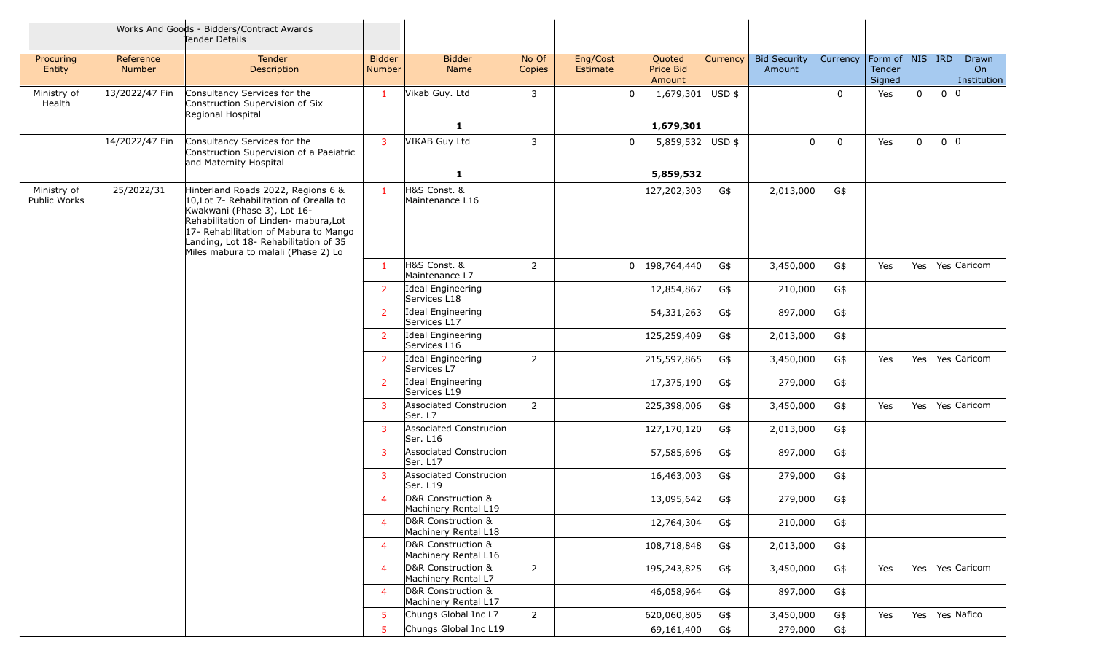|                             |                     | Works And Goods - Bidders/Contract Awards<br>Tender Details                                                                                                                                                                                                                    |                                |                                            |                 |                      |                               |          |                               |             |                                                |             |                |                            |
|-----------------------------|---------------------|--------------------------------------------------------------------------------------------------------------------------------------------------------------------------------------------------------------------------------------------------------------------------------|--------------------------------|--------------------------------------------|-----------------|----------------------|-------------------------------|----------|-------------------------------|-------------|------------------------------------------------|-------------|----------------|----------------------------|
| Procuring<br>Entity         | Reference<br>Number | <b>Tender</b><br>Description                                                                                                                                                                                                                                                   | <b>Bidder</b><br><b>Number</b> | <b>Bidder</b><br>Name                      | No Of<br>Copies | Eng/Cost<br>Estimate | Quoted<br>Price Bid<br>Amount | Currency | <b>Bid Security</b><br>Amount | Currency    | Form of   NIS   IRD<br><b>Tender</b><br>Signed |             |                | Drawn<br>On<br>Institution |
| Ministry of<br>Health       | 13/2022/47 Fin      | Consultancy Services for the<br>Construction Supervision of Six<br>Regional Hospital                                                                                                                                                                                           | $\mathbf{1}$                   | Vikab Guy. Ltd                             | 3               |                      | 1,679,301                     | $USD$ \$ |                               | 0           | Yes                                            | $\mathbf 0$ | $0$   $0$      |                            |
|                             |                     |                                                                                                                                                                                                                                                                                |                                | $\mathbf{1}$                               |                 |                      | 1,679,301                     |          |                               |             |                                                |             |                |                            |
|                             | 14/2022/47 Fin      | Consultancy Services for the<br>Construction Supervision of a Paeiatric<br>and Maternity Hospital                                                                                                                                                                              | $\overline{3}$                 | VIKAB Guy Ltd                              | 3               | $\Omega$             | 5,859,532 USD \$              |          |                               | $\mathbf 0$ | Yes                                            | $\mathbf 0$ | 0 <sup>0</sup> |                            |
|                             |                     |                                                                                                                                                                                                                                                                                |                                | $\mathbf{1}$                               |                 |                      | 5,859,532                     |          |                               |             |                                                |             |                |                            |
| Ministry of<br>Public Works | 25/2022/31          | Hinterland Roads 2022, Regions 6 &<br>10, Lot 7- Rehabilitation of Orealla to<br>Kwakwani (Phase 3), Lot 16-<br>Rehabilitation of Linden- mabura, Lot<br>17- Rehabilitation of Mabura to Mango<br>Landing, Lot 18- Rehabilitation of 35<br>Miles mabura to malali (Phase 2) Lo | $\mathbf{1}$                   | H&S Const. &<br>Maintenance L16            |                 |                      | 127,202,303                   | G\$      | 2,013,000                     | G\$         |                                                |             |                |                            |
|                             |                     |                                                                                                                                                                                                                                                                                | $\mathbf{1}$                   | H&S Const. &<br>Maintenance L7             | $\overline{2}$  |                      | 198,764,440<br>0              | G\$      | 3,450,000                     | G\$         | Yes                                            | Yes         |                | Yes Caricom                |
|                             |                     |                                                                                                                                                                                                                                                                                | <sup>2</sup>                   | Ideal Engineering<br>Services L18          |                 |                      | 12,854,867                    | G\$      | 210,000                       | G\$         |                                                |             |                |                            |
|                             |                     |                                                                                                                                                                                                                                                                                | <sup>2</sup>                   | Ideal Engineering<br>Services L17          |                 |                      | 54,331,263                    | G\$      | 897,000                       | G\$         |                                                |             |                |                            |
|                             |                     |                                                                                                                                                                                                                                                                                | <sup>2</sup>                   | Ideal Engineering<br>Services L16          |                 |                      | 125,259,409                   | G\$      | 2,013,000                     | G\$         |                                                |             |                |                            |
|                             |                     |                                                                                                                                                                                                                                                                                | <sup>2</sup>                   | Ideal Engineering<br>Services L7           | $\overline{2}$  |                      | 215,597,865                   | G\$      | 3,450,000                     | G\$         | Yes                                            | Yes         |                | Yes Caricom                |
|                             |                     |                                                                                                                                                                                                                                                                                | <sup>2</sup>                   | Ideal Engineering<br>Services L19          |                 |                      | 17,375,190                    | G\$      | 279,000                       | G\$         |                                                |             |                |                            |
|                             |                     |                                                                                                                                                                                                                                                                                | 3                              | Associated Construcion<br>Ser. L7          | $\overline{2}$  |                      | 225,398,006                   | G\$      | 3,450,000                     | G\$         | Yes                                            | Yes         |                | Yes Caricom                |
|                             |                     |                                                                                                                                                                                                                                                                                | 3                              | <b>Associated Construcion</b><br>Ser. L16  |                 |                      | 127,170,120                   | G\$      | 2,013,000                     | G\$         |                                                |             |                |                            |
|                             |                     |                                                                                                                                                                                                                                                                                | 3                              | <b>Associated Construcion</b><br>Ser. L17  |                 |                      | 57,585,696                    | G\$      | 897,000                       | G\$         |                                                |             |                |                            |
|                             |                     |                                                                                                                                                                                                                                                                                | 3                              | Associated Construcion<br>Ser. L19         |                 |                      | 16,463,003                    | G\$      | 279,000                       | G\$         |                                                |             |                |                            |
|                             |                     |                                                                                                                                                                                                                                                                                | $\overline{4}$                 | D&R Construction &<br>Machinery Rental L19 |                 |                      | 13,095,642                    | G\$      | 279,000                       | G\$         |                                                |             |                |                            |
|                             |                     |                                                                                                                                                                                                                                                                                | $\overline{4}$                 | D&R Construction &<br>Machinery Rental L18 |                 |                      | 12,764,304                    | G\$      | 210,000                       | G\$         |                                                |             |                |                            |
|                             |                     |                                                                                                                                                                                                                                                                                | $\overline{4}$                 | D&R Construction &<br>Machinery Rental L16 |                 |                      | 108,718,848                   | G\$      | 2,013,000                     | G\$         |                                                |             |                |                            |
|                             |                     |                                                                                                                                                                                                                                                                                | $\overline{4}$                 | D&R Construction &<br>Machinery Rental L7  | $2^{\circ}$     |                      | 195,243,825                   | G\$      | 3,450,000                     | G\$         | Yes                                            |             |                | Yes   Yes   Caricom        |
|                             |                     |                                                                                                                                                                                                                                                                                | $\overline{4}$                 | D&R Construction &<br>Machinery Rental L17 |                 |                      | 46,058,964                    | G\$      | 897,000                       | G\$         |                                                |             |                |                            |
|                             |                     |                                                                                                                                                                                                                                                                                | 5 <sup>5</sup>                 | Chungs Global Inc L7                       | $\overline{2}$  |                      | 620,060,805                   | G\$      | 3,450,000                     | G\$         | Yes                                            |             |                | Yes   Yes Nafico           |
|                             |                     |                                                                                                                                                                                                                                                                                | 5                              | Chungs Global Inc L19                      |                 |                      | 69,161,400                    | G\$      | 279,000                       | G\$         |                                                |             |                |                            |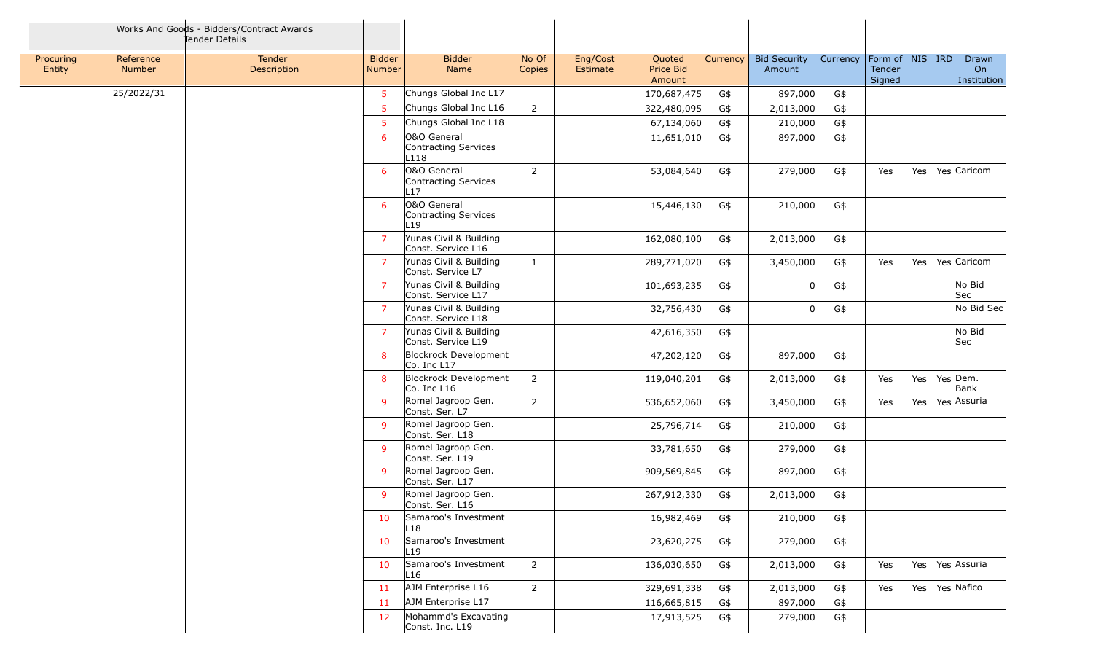|                     |                            | Works And Goods - Bidders/Contract Awards<br>Tender Details |                                |                                                     |                 |                      |                               |          |                               |          |                                                             |         |                    |                            |
|---------------------|----------------------------|-------------------------------------------------------------|--------------------------------|-----------------------------------------------------|-----------------|----------------------|-------------------------------|----------|-------------------------------|----------|-------------------------------------------------------------|---------|--------------------|----------------------------|
| Procuring<br>Entity | Reference<br><b>Number</b> | <b>Tender</b><br>Description                                | <b>Bidder</b><br><b>Number</b> | <b>Bidder</b><br>Name                               | No Of<br>Copies | Eng/Cost<br>Estimate | Quoted<br>Price Bid<br>Amount | Currency | <b>Bid Security</b><br>Amount | Currency | Form of $\vert$ NIS $\vert$ IRD $\vert$<br>Tender<br>Signed |         |                    | Drawn<br>On<br>Institution |
|                     | 25/2022/31                 |                                                             | 5                              | Chungs Global Inc L17                               |                 |                      | 170,687,475                   | G\$      | 897,000                       | G\$      |                                                             |         |                    |                            |
|                     |                            |                                                             | 5                              | Chungs Global Inc L16                               | $\overline{2}$  |                      | 322,480,095                   | G\$      | 2,013,000                     | G\$      |                                                             |         |                    |                            |
|                     |                            |                                                             | 5                              | Chungs Global Inc L18                               |                 |                      | 67,134,060                    | G\$      | 210,000                       | G\$      |                                                             |         |                    |                            |
|                     |                            |                                                             | 6                              | O&O General<br>Contracting Services<br>L118         |                 |                      | 11,651,010                    | G\$      | 897,000                       | G\$      |                                                             |         |                    |                            |
|                     |                            |                                                             | 6                              | O&O General<br>Contracting Services<br>17           | $\overline{2}$  |                      | 53,084,640                    | G\$      | 279,000                       | G\$      | Yes                                                         | Yes $ $ |                    | Yes Caricom                |
|                     |                            |                                                             | 6                              | O&O General<br>Contracting Services<br>$\lfloor$ 19 |                 |                      | 15,446,130                    | G\$      | 210,000                       | G\$      |                                                             |         |                    |                            |
|                     |                            |                                                             | $\overline{7}$                 | Yunas Civil & Building<br>Const. Service L16        |                 |                      | 162,080,100                   | G\$      | 2,013,000                     | G\$      |                                                             |         |                    |                            |
|                     |                            |                                                             | $\overline{7}$                 | Yunas Civil & Building<br>Const. Service L7         | $\mathbf{1}$    |                      | 289,771,020                   | G\$      | 3,450,000                     | G\$      | Yes                                                         | Yes     |                    | Yes Caricom                |
|                     |                            |                                                             | 7                              | Yunas Civil & Building<br>Const. Service L17        |                 |                      | 101,693,235                   | G\$      |                               | G\$      |                                                             |         |                    | No Bid<br><b>Sec</b>       |
|                     |                            |                                                             | $\overline{7}$                 | Yunas Civil & Building<br>Const. Service L18        |                 |                      | 32,756,430                    | G\$      |                               | G\$      |                                                             |         |                    | No Bid Sec                 |
|                     |                            |                                                             | $\overline{7}$                 | Yunas Civil & Building<br>Const. Service L19        |                 |                      | 42,616,350                    | G\$      |                               |          |                                                             |         |                    | No Bid<br>Sec              |
|                     |                            |                                                             | 8                              | <b>Blockrock Development</b><br>Co. Inc L17         |                 |                      | 47,202,120                    | G\$      | 897,000                       | G\$      |                                                             |         |                    |                            |
|                     |                            |                                                             | 8                              | <b>Blockrock Development</b><br>Co. Inc L16         | $\overline{2}$  |                      | 119,040,201                   | G\$      | 2,013,000                     | G\$      | Yes                                                         |         | Yes   Yes   Dem.   | Bank                       |
|                     |                            |                                                             | 9                              | Romel Jagroop Gen.<br>Const. Ser. L7                | $\overline{2}$  |                      | 536,652,060                   | G\$      | 3,450,000                     | G\$      | Yes                                                         | Yes     |                    | Yes Assuria                |
|                     |                            |                                                             | 9                              | Romel Jagroop Gen.<br>Const. Ser. L18               |                 |                      | 25,796,714                    | G\$      | 210,000                       | G\$      |                                                             |         |                    |                            |
|                     |                            |                                                             | -9                             | Romel Jagroop Gen.<br>Const. Ser. L19               |                 |                      | 33,781,650                    | G\$      | 279,000                       | G\$      |                                                             |         |                    |                            |
|                     |                            |                                                             | $\mathsf{q}$                   | Romel Jagroop Gen.<br>Const. Ser. L17               |                 |                      | 909,569,845                   | G\$      | 897,000                       | G\$      |                                                             |         |                    |                            |
|                     |                            |                                                             | 9                              | Romel Jagroop Gen.<br>Const. Ser. L16               |                 |                      | 267,912,330                   | G\$      | 2,013,000                     | G\$      |                                                             |         |                    |                            |
|                     |                            |                                                             | 10                             | Samaroo's Investment<br>L18                         |                 |                      | 16,982,469                    | G\$      | 210,000                       | G\$      |                                                             |         |                    |                            |
|                     |                            |                                                             | 10                             | Samaroo's Investment<br>∟19                         |                 |                      | 23,620,275                    | G\$      | 279,000                       | G\$      |                                                             |         |                    |                            |
|                     |                            |                                                             | 10                             | Samaroo's Investment<br>L16                         | $2^{\circ}$     |                      | 136,030,650                   | G\$      | 2,013,000                     | G\$      | Yes                                                         |         |                    | Yes   Yes   Assuria        |
|                     |                            |                                                             | -11                            | AJM Enterprise L16                                  | $2^{\circ}$     |                      | 329,691,338                   | G\$      | 2,013,000                     | G\$      | Yes                                                         |         | Yes   Yes   Nafico |                            |
|                     |                            |                                                             | 11                             | AJM Enterprise L17                                  |                 |                      | 116,665,815                   | G\$      | 897,000                       | G\$      |                                                             |         |                    |                            |
|                     |                            |                                                             | 12                             | Mohammd's Excavating<br>Const. Inc. L19             |                 |                      | 17,913,525                    | G\$      | 279,000                       | G\$      |                                                             |         |                    |                            |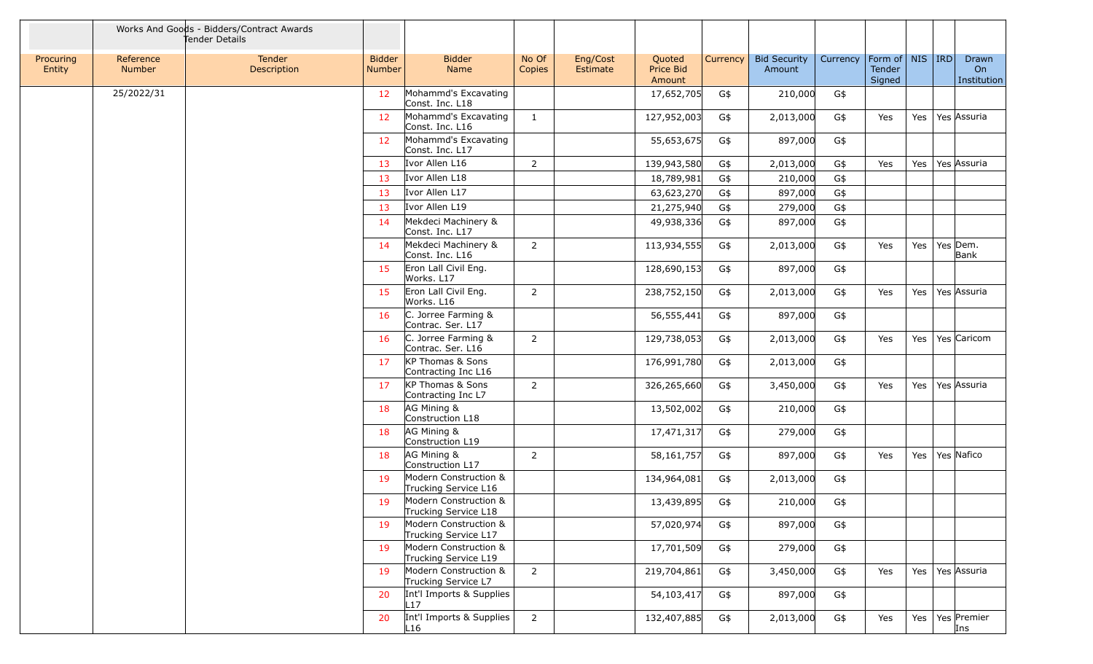|                     |                     | Works And Goods - Bidders/Contract Awards<br>Tender Details |                                |                                               |                 |                      |                               |          |                               |          |                                                |     |                            |
|---------------------|---------------------|-------------------------------------------------------------|--------------------------------|-----------------------------------------------|-----------------|----------------------|-------------------------------|----------|-------------------------------|----------|------------------------------------------------|-----|----------------------------|
| Procuring<br>Entity | Reference<br>Number | Tender<br>Description                                       | <b>Bidder</b><br><b>Number</b> | <b>Bidder</b><br>Name                         | No Of<br>Copies | Eng/Cost<br>Estimate | Quoted<br>Price Bid<br>Amount | Currency | <b>Bid Security</b><br>Amount | Currency | Form of   NIS   IRD<br><b>Tender</b><br>Signed |     | Drawn<br>On<br>Institution |
|                     | 25/2022/31          |                                                             | 12                             | Mohammd's Excavating<br>Const. Inc. L18       |                 |                      | 17,652,705                    | G\$      | 210,000                       | G\$      |                                                |     |                            |
|                     |                     |                                                             | 12                             | Mohammd's Excavating<br>Const. Inc. L16       | $\mathbf{1}$    |                      | 127,952,003                   | G\$      | 2,013,000                     | G\$      | Yes                                            | Yes | Yes Assuria                |
|                     |                     |                                                             | 12                             | Mohammd's Excavating<br>Const. Inc. L17       |                 |                      | 55,653,675                    | G\$      | 897,000                       | G\$      |                                                |     |                            |
|                     |                     |                                                             | 13                             | Ivor Allen L16                                | $\overline{2}$  |                      | 139,943,580                   | G\$      | 2,013,000                     | G\$      | Yes                                            |     | Yes   Yes Assuria          |
|                     |                     |                                                             | 13                             | Ivor Allen L18                                |                 |                      | 18,789,981                    | G\$      | 210,000                       | G\$      |                                                |     |                            |
|                     |                     |                                                             | 13                             | Ivor Allen L17                                |                 |                      | 63,623,270                    | G\$      | 897,000                       | G\$      |                                                |     |                            |
|                     |                     |                                                             | 13                             | Ivor Allen L19                                |                 |                      | 21,275,940                    | G\$      | 279,000                       | G\$      |                                                |     |                            |
|                     |                     |                                                             | 14                             | Mekdeci Machinery &<br>Const. Inc. L17        |                 |                      | 49,938,336                    | G\$      | 897,000                       | G\$      |                                                |     |                            |
|                     |                     |                                                             | 14                             | Mekdeci Machinery &<br>Const. Inc. L16        | $\overline{2}$  |                      | 113,934,555                   | G\$      | 2,013,000                     | G\$      | Yes                                            | Yes | Yes Dem.<br>Bank           |
|                     |                     |                                                             | 15                             | Eron Lall Civil Eng.<br>Works. L17            |                 |                      | 128,690,153                   | G\$      | 897,000                       | G\$      |                                                |     |                            |
|                     |                     |                                                             | 15                             | Eron Lall Civil Eng.<br>Works. L16            | $\overline{2}$  |                      | 238,752,150                   | G\$      | 2,013,000                     | G\$      | Yes                                            | Yes | Yes Assuria                |
|                     |                     |                                                             | 16                             | C. Jorree Farming &<br>Contrac. Ser. L17      |                 |                      | 56,555,441                    | G\$      | 897,000                       | G\$      |                                                |     |                            |
|                     |                     |                                                             | 16                             | C. Jorree Farming &<br>Contrac. Ser. L16      | $\overline{2}$  |                      | 129,738,053                   | G\$      | 2,013,000                     | G\$      | Yes                                            | Yes | Yes Caricom                |
|                     |                     |                                                             | 17                             | KP Thomas & Sons<br>Contracting Inc L16       |                 |                      | 176,991,780                   | G\$      | 2,013,000                     | G\$      |                                                |     |                            |
|                     |                     |                                                             | 17                             | KP Thomas & Sons<br>Contracting Inc L7        | $\overline{2}$  |                      | 326,265,660                   | G\$      | 3,450,000                     | G\$      | Yes                                            | Yes | Yes Assuria                |
|                     |                     |                                                             | 18                             | AG Mining &<br>Construction L18               |                 |                      | 13,502,002                    | G\$      | 210,000                       | G\$      |                                                |     |                            |
|                     |                     |                                                             | 18                             | AG Mining &<br>Construction L19               |                 |                      | 17,471,317                    | G\$      | 279,000                       | G\$      |                                                |     |                            |
|                     |                     |                                                             | 18                             | AG Mining &<br>Construction L17               | $\overline{2}$  |                      | 58,161,757                    | G\$      | 897,000                       | G\$      | Yes                                            |     | Yes   Yes   Nafico         |
|                     |                     |                                                             | 19                             | Modern Construction &<br>Trucking Service L16 |                 |                      | 134,964,081                   | G\$      | 2,013,000                     | G\$      |                                                |     |                            |
|                     |                     |                                                             | 19                             | Modern Construction &<br>Trucking Service L18 |                 |                      | 13,439,895                    | G\$      | 210,000                       | G\$      |                                                |     |                            |
|                     |                     |                                                             | 19                             | Modern Construction &<br>Trucking Service L17 |                 |                      | 57,020,974                    | G\$      | 897,000                       | G\$      |                                                |     |                            |
|                     |                     |                                                             | 19                             | Modern Construction &<br>Trucking Service L19 |                 |                      | 17,701,509                    | G\$      | 279,000                       | G\$      |                                                |     |                            |
|                     |                     |                                                             | 19                             | Modern Construction &<br>Trucking Service L7  | $2^{\circ}$     |                      | 219,704,861                   | G\$      | 3,450,000                     | G\$      | Yes                                            |     | Yes   Yes   Assuria        |
|                     |                     |                                                             | 20                             | Int'l Imports & Supplies<br>L17               |                 |                      | 54,103,417                    | G\$      | 897,000                       | G\$      |                                                |     |                            |
|                     |                     |                                                             | 20                             | Int'l Imports & Supplies<br>L16               | $2^{\circ}$     |                      | 132,407,885                   | G\$      | 2,013,000                     | $G$ \$   | Yes                                            | Yes | Yes Premier<br>Ins         |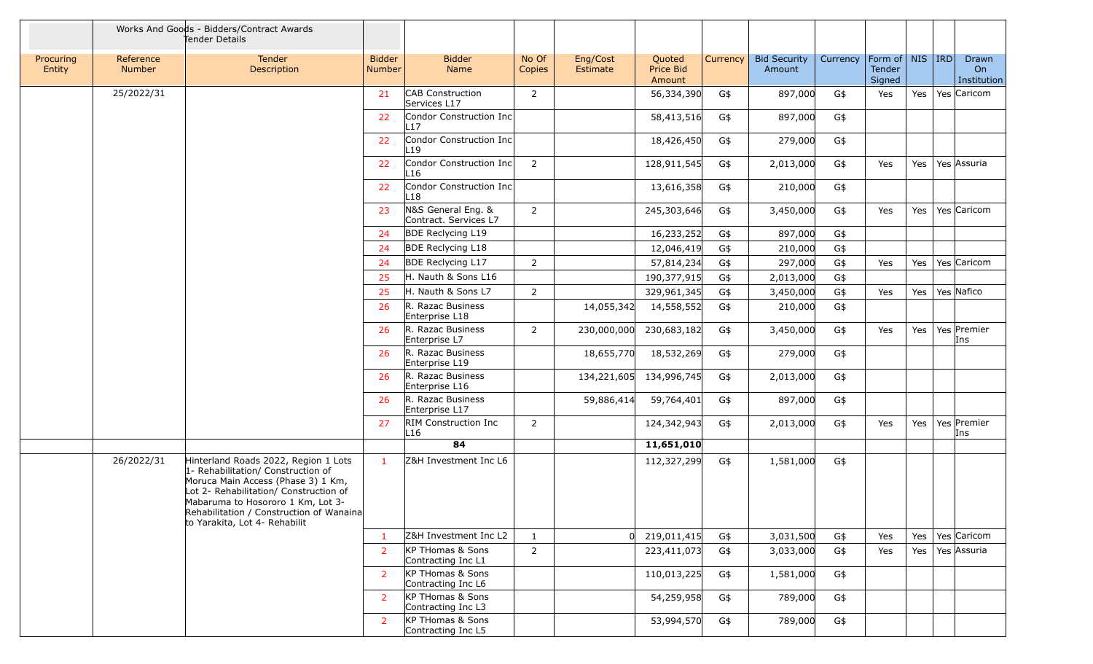|                     |                            | Works And Goods - Bidders/Contract Awards<br>Tender Details                                                                                                                                                                                                                  |                                |                                             |                 |                      |                               |          |                               |          |                                         |     |                            |
|---------------------|----------------------------|------------------------------------------------------------------------------------------------------------------------------------------------------------------------------------------------------------------------------------------------------------------------------|--------------------------------|---------------------------------------------|-----------------|----------------------|-------------------------------|----------|-------------------------------|----------|-----------------------------------------|-----|----------------------------|
| Procuring<br>Entity | Reference<br><b>Number</b> | Tender<br>Description                                                                                                                                                                                                                                                        | <b>Bidder</b><br><b>Number</b> | <b>Bidder</b><br>Name                       | No Of<br>Copies | Eng/Cost<br>Estimate | Quoted<br>Price Bid<br>Amount | Currency | <b>Bid Security</b><br>Amount | Currency | Form of   NIS   IRD<br>Tender<br>Signed |     | Drawn<br>On<br>Institution |
|                     | 25/2022/31                 |                                                                                                                                                                                                                                                                              | 21                             | <b>CAB</b> Construction<br>Services L17     | $\overline{2}$  |                      | 56,334,390                    | G\$      | 897,000                       | G\$      | Yes                                     | Yes | Yes Caricom                |
|                     |                            |                                                                                                                                                                                                                                                                              | 22                             | Condor Construction Inc<br>⊥17              |                 |                      | 58,413,516                    | G\$      | 897,000                       | G\$      |                                         |     |                            |
|                     |                            |                                                                                                                                                                                                                                                                              | 22                             | Condor Construction Inc<br>$-19$            |                 |                      | 18,426,450                    | G\$      | 279,000                       | G\$      |                                         |     |                            |
|                     |                            |                                                                                                                                                                                                                                                                              | 22                             | Condor Construction Inc<br>L16              | 2               |                      | 128,911,545                   | G\$      | 2,013,000                     | G\$      | Yes                                     | Yes | Yes Assuria                |
|                     |                            |                                                                                                                                                                                                                                                                              | 22                             | Condor Construction Inc<br>L18              |                 |                      | 13,616,358                    | G\$      | 210,000                       | G\$      |                                         |     |                            |
|                     |                            |                                                                                                                                                                                                                                                                              | 23                             | N&S General Eng. &<br>Contract. Services L7 | $\overline{2}$  |                      | 245,303,646                   | G\$      | 3,450,000                     | G\$      | Yes                                     | Yes | Yes Caricom                |
|                     |                            |                                                                                                                                                                                                                                                                              | -24                            | <b>BDE Reclycing L19</b>                    |                 |                      | 16,233,252                    | G\$      | 897,000                       | G\$      |                                         |     |                            |
|                     |                            |                                                                                                                                                                                                                                                                              | -24                            | <b>BDE Reclycing L18</b>                    |                 |                      | 12,046,419                    | G\$      | 210,000                       | G\$      |                                         |     |                            |
|                     |                            |                                                                                                                                                                                                                                                                              | -24                            | <b>BDE Reclycing L17</b>                    | $\overline{2}$  |                      | 57,814,234                    | G\$      | 297,000                       | G\$      | Yes                                     | Yes | Yes Caricom                |
|                     |                            |                                                                                                                                                                                                                                                                              | 25                             | H. Nauth & Sons L16                         |                 |                      | 190,377,915                   | G\$      | 2,013,000                     | G\$      |                                         |     |                            |
|                     |                            |                                                                                                                                                                                                                                                                              | 25                             | H. Nauth & Sons L7                          | $\overline{2}$  |                      | 329,961,345                   | G\$      | 3,450,000                     | G\$      | Yes                                     | Yes | Yes Nafico                 |
|                     |                            |                                                                                                                                                                                                                                                                              | 26                             | R. Razac Business<br>Enterprise L18         |                 | 14,055,342           | 14,558,552                    | G\$      | 210,000                       | G\$      |                                         |     |                            |
|                     |                            |                                                                                                                                                                                                                                                                              | 26                             | R. Razac Business<br>Enterprise L7          | 2               | 230,000,000          | 230,683,182                   | G\$      | 3,450,000                     | G\$      | Yes                                     | Yes | Yes Premier<br>Ins         |
|                     |                            |                                                                                                                                                                                                                                                                              | 26                             | R. Razac Business<br>Enterprise L19         |                 | 18,655,770           | 18,532,269                    | G\$      | 279,000                       | G\$      |                                         |     |                            |
|                     |                            |                                                                                                                                                                                                                                                                              | 26                             | R. Razac Business<br>Enterprise L16         |                 |                      | 134,221,605 134,996,745       | G\$      | 2,013,000                     | G\$      |                                         |     |                            |
|                     |                            |                                                                                                                                                                                                                                                                              | 26                             | R. Razac Business<br>Enterprise L17         |                 | 59,886,414           | 59,764,401                    | G\$      | 897,000                       | G\$      |                                         |     |                            |
|                     |                            |                                                                                                                                                                                                                                                                              | 27                             | <b>RIM Construction Inc</b><br>L16          | $\overline{2}$  |                      | 124,342,943                   | G\$      | 2,013,000                     | G\$      | Yes                                     | Yes | Yes Premier<br>Ins         |
|                     |                            |                                                                                                                                                                                                                                                                              |                                | 84                                          |                 |                      | 11,651,010                    |          |                               |          |                                         |     |                            |
|                     | 26/2022/31                 | Hinterland Roads 2022, Region 1 Lots<br>1- Rehabilitation/ Construction of<br>Moruca Main Access (Phase 3) 1 Km,<br>Lot 2- Rehabilitation/ Construction of<br>Mabaruma to Hosororo 1 Km, Lot 3-<br>Rehabilitation / Construction of Wanaina<br>to Yarakita, Lot 4- Rehabilit | $\mathbf{1}$                   | Z&H Investment Inc L6                       |                 |                      | 112,327,299                   | G\$      | 1,581,000                     | G\$      |                                         |     |                            |
|                     |                            |                                                                                                                                                                                                                                                                              |                                | Z&H Investment Inc L2                       | $\mathbf{1}$    |                      | $0 \mid 219,011,415$          | G\$      | 3,031,500                     | G\$      | Yes                                     | Yes | Yes Caricom                |
|                     |                            |                                                                                                                                                                                                                                                                              | -2                             | KP THomas & Sons<br>Contracting Inc L1      | $\overline{2}$  |                      | 223,411,073                   | G\$      | 3,033,000                     | G\$      | Yes                                     | Yes | Yes Assuria                |
|                     |                            |                                                                                                                                                                                                                                                                              | 2                              | KP THomas & Sons<br>Contracting Inc L6      |                 |                      | 110,013,225                   | G\$      | 1,581,000                     | G\$      |                                         |     |                            |
|                     |                            |                                                                                                                                                                                                                                                                              | 2                              | KP THomas & Sons<br>Contracting Inc L3      |                 |                      | 54,259,958                    | G\$      | 789,000                       | G\$      |                                         |     |                            |
|                     |                            |                                                                                                                                                                                                                                                                              | 2                              | KP THomas & Sons<br>Contracting Inc L5      |                 |                      | 53,994,570                    | G\$      | 789,000                       | G\$      |                                         |     |                            |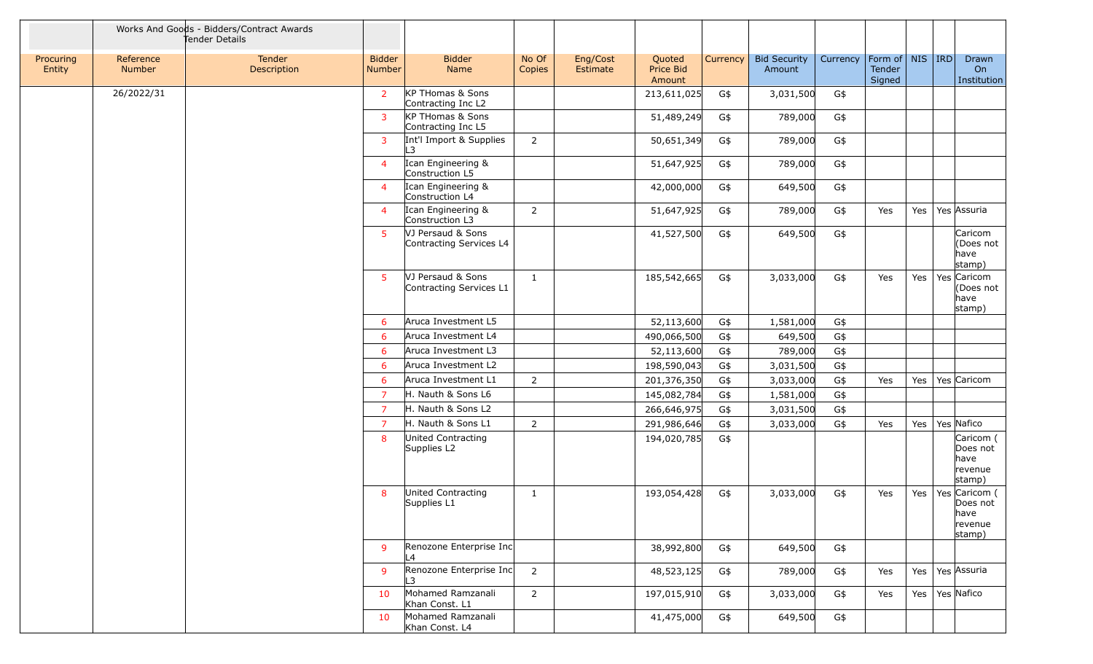|                     |                            | Works And Goods - Bidders/Contract Awards<br>Tender Details |                                |                                              |                 |                      |                               |          |                               |          |                                           |     |                                                        |
|---------------------|----------------------------|-------------------------------------------------------------|--------------------------------|----------------------------------------------|-----------------|----------------------|-------------------------------|----------|-------------------------------|----------|-------------------------------------------|-----|--------------------------------------------------------|
| Procuring<br>Entity | Reference<br><b>Number</b> | Tender<br>Description                                       | <b>Bidder</b><br><b>Number</b> | <b>Bidder</b><br>Name                        | No Of<br>Copies | Eng/Cost<br>Estimate | Quoted<br>Price Bid<br>Amount | Currency | <b>Bid Security</b><br>Amount | Currency | Form of   NIS   IRD  <br>Tender<br>Signed |     | Drawn<br>On<br>Institution                             |
|                     | 26/2022/31                 |                                                             | $\overline{2}$                 | KP THomas & Sons<br>Contracting Inc L2       |                 |                      | 213,611,025                   | G\$      | 3,031,500                     | G\$      |                                           |     |                                                        |
|                     |                            |                                                             | 3                              | KP THomas & Sons<br>Contracting Inc L5       |                 |                      | 51,489,249                    | G\$      | 789,000                       | G\$      |                                           |     |                                                        |
|                     |                            |                                                             | 3                              | Int'l Import & Supplies<br>L3                | $\overline{2}$  |                      | 50,651,349                    | G\$      | 789,000                       | G\$      |                                           |     |                                                        |
|                     |                            |                                                             | $\overline{4}$                 | Ican Engineering &<br>Construction L5        |                 |                      | 51,647,925                    | G\$      | 789,000                       | G\$      |                                           |     |                                                        |
|                     |                            |                                                             | $\overline{4}$                 | Ican Engineering &<br>Construction L4        |                 |                      | 42,000,000                    | G\$      | 649,500                       | G\$      |                                           |     |                                                        |
|                     |                            |                                                             | $\overline{4}$                 | Ican Engineering &<br>Construction L3        | $\overline{2}$  |                      | 51,647,925                    | G\$      | 789,000                       | G\$      | Yes                                       | Yes | Yes Assuria                                            |
|                     |                            |                                                             | 5                              | VJ Persaud & Sons<br>Contracting Services L4 |                 |                      | 41,527,500                    | G\$      | 649,500                       | G\$      |                                           |     | Caricom<br>(Does not<br>have<br>stamp)                 |
|                     |                            |                                                             | 5                              | VJ Persaud & Sons<br>Contracting Services L1 | $\mathbf{1}$    |                      | 185,542,665                   | G\$      | 3,033,000                     | G\$      | Yes                                       | Yes | Yes Caricom<br>(Does not<br>have<br>stamp)             |
|                     |                            |                                                             | 6                              | Aruca Investment L5                          |                 |                      | 52,113,600                    | G\$      | 1,581,000                     | G\$      |                                           |     |                                                        |
|                     |                            |                                                             | 6                              | Aruca Investment L4                          |                 |                      | 490,066,500                   | G\$      | 649,500                       | G\$      |                                           |     |                                                        |
|                     |                            |                                                             | 6                              | Aruca Investment L3                          |                 |                      | 52,113,600                    | G\$      | 789,000                       | G\$      |                                           |     |                                                        |
|                     |                            |                                                             | 6                              | Aruca Investment L2                          |                 |                      | 198,590,043                   | G\$      | 3,031,500                     | G\$      |                                           |     |                                                        |
|                     |                            |                                                             | 6                              | Aruca Investment L1                          | $\overline{2}$  |                      | 201,376,350                   | G\$      | 3,033,000                     | $G\$     | Yes                                       |     | Yes   Yes   Caricom                                    |
|                     |                            |                                                             | $\overline{7}$                 | H. Nauth & Sons L6                           |                 |                      | 145,082,784                   | G\$      | 1,581,000                     | G\$      |                                           |     |                                                        |
|                     |                            |                                                             | $\overline{7}$                 | H. Nauth & Sons L2                           |                 |                      | 266,646,975                   | G\$      | 3,031,500                     | G\$      |                                           |     |                                                        |
|                     |                            |                                                             | $\overline{7}$                 | H. Nauth & Sons L1                           | $\overline{2}$  |                      | 291,986,646                   | G\$      | 3,033,000                     | G\$      | Yes                                       |     | Yes   Yes   Nafico                                     |
|                     |                            |                                                             | 8                              | United Contracting<br>Supplies L2            |                 |                      | 194,020,785                   | G\$      |                               |          |                                           |     | Caricom (<br>Does not<br>have<br>revenue<br>stamp)     |
|                     |                            |                                                             | 8                              | United Contracting<br>Supplies L1            | $\mathbf{1}$    |                      | 193,054,428                   | G\$      | 3,033,000                     | G\$      | Yes                                       | Yes | Yes Caricom (<br>Does not<br>have<br>revenue<br>stamp) |
|                     |                            |                                                             | 9                              | Renozone Enterprise Inc<br>L4                |                 |                      | 38,992,800                    | G\$      | 649,500                       | G\$      |                                           |     |                                                        |
|                     |                            |                                                             | 9                              | Renozone Enterprise Inc<br>L3.               | $\overline{2}$  |                      | 48,523,125                    | G\$      | 789,000                       | G\$      | Yes                                       |     | Yes   Yes Assuria                                      |
|                     |                            |                                                             | 10                             | Mohamed Ramzanali<br>Khan Const. L1          | $2^{\circ}$     |                      | 197,015,910                   | G\$      | 3,033,000                     | G\$      | Yes                                       |     | Yes   Yes   Nafico                                     |
|                     |                            |                                                             | 10                             | Mohamed Ramzanali<br>Khan Const. L4          |                 |                      | 41,475,000                    | G\$      | 649,500                       | G\$      |                                           |     |                                                        |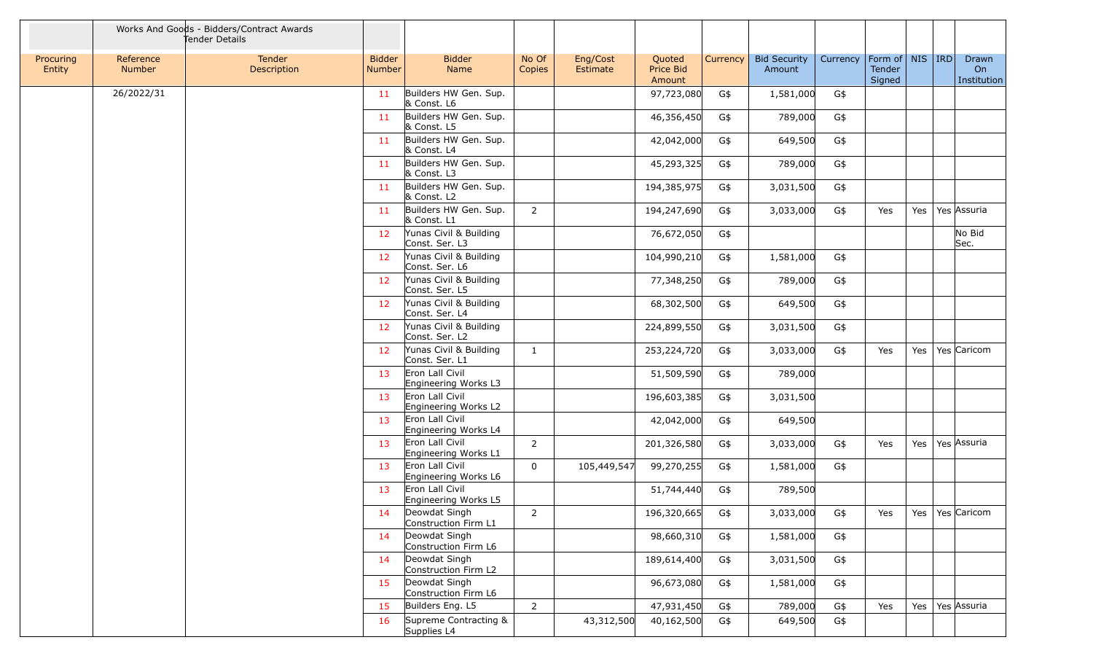|                     |                            | Works And Goods - Bidders/Contract Awards<br>Tender Details |                                |                                          |                 |                      |                               |          |                               |          |                                         |     |                            |
|---------------------|----------------------------|-------------------------------------------------------------|--------------------------------|------------------------------------------|-----------------|----------------------|-------------------------------|----------|-------------------------------|----------|-----------------------------------------|-----|----------------------------|
| Procuring<br>Entity | Reference<br><b>Number</b> | Tender<br>Description                                       | <b>Bidder</b><br><b>Number</b> | <b>Bidder</b><br>Name                    | No Of<br>Copies | Eng/Cost<br>Estimate | Quoted<br>Price Bid<br>Amount | Currency | <b>Bid Security</b><br>Amount | Currency | Form of   NIS   IRD<br>Tender<br>Signed |     | Drawn<br>On<br>Institution |
|                     | 26/2022/31                 |                                                             | 11                             | Builders HW Gen. Sup.<br>& Const. L6     |                 |                      | 97,723,080                    | G\$      | 1,581,000                     | G\$      |                                         |     |                            |
|                     |                            |                                                             | 11                             | Builders HW Gen. Sup.<br>& Const. L5     |                 |                      | 46,356,450                    | G\$      | 789,000                       | G\$      |                                         |     |                            |
|                     |                            |                                                             | 11                             | Builders HW Gen. Sup.<br>& Const. L4     |                 |                      | 42,042,000                    | G\$      | 649,500                       | G\$      |                                         |     |                            |
|                     |                            |                                                             | 11                             | Builders HW Gen. Sup.<br>& Const. L3     |                 |                      | 45,293,325                    | G\$      | 789,000                       | G\$      |                                         |     |                            |
|                     |                            |                                                             | 11                             | Builders HW Gen. Sup.<br>& Const. L2     |                 |                      | 194,385,975                   | G\$      | 3,031,500                     | G\$      |                                         |     |                            |
|                     |                            |                                                             | 11                             | Builders HW Gen. Sup.<br>& Const. L1     | $\overline{2}$  |                      | 194,247,690                   | G\$      | 3,033,000                     | G\$      | Yes                                     |     | Yes   Yes   Assuria        |
|                     |                            |                                                             | 12                             | Yunas Civil & Building<br>Const. Ser. L3 |                 |                      | 76,672,050                    | G\$      |                               |          |                                         |     | No Bid<br>Sec.             |
|                     |                            |                                                             | 12                             | Yunas Civil & Building<br>Const. Ser. L6 |                 |                      | 104,990,210                   | G\$      | 1,581,000                     | G\$      |                                         |     |                            |
|                     |                            |                                                             | 12                             | Yunas Civil & Building<br>Const. Ser. L5 |                 |                      | 77,348,250                    | G\$      | 789,000                       | G\$      |                                         |     |                            |
|                     |                            |                                                             | 12                             | Yunas Civil & Building<br>Const. Ser. L4 |                 |                      | 68,302,500                    | G\$      | 649,500                       | G\$      |                                         |     |                            |
|                     |                            |                                                             | 12                             | Yunas Civil & Building<br>Const. Ser. L2 |                 |                      | 224,899,550                   | G\$      | 3,031,500                     | G\$      |                                         |     |                            |
|                     |                            |                                                             | 12                             | Yunas Civil & Building<br>Const. Ser. L1 | $\mathbf{1}$    |                      | 253,224,720                   | G\$      | 3,033,000                     | G\$      | Yes                                     | Yes | Yes Caricom                |
|                     |                            |                                                             | 13                             | Eron Lall Civil<br>Engineering Works L3  |                 |                      | 51,509,590                    | G\$      | 789,000                       |          |                                         |     |                            |
|                     |                            |                                                             | 13                             | Eron Lall Civil<br>Engineering Works L2  |                 |                      | 196,603,385                   | G\$      | 3,031,500                     |          |                                         |     |                            |
|                     |                            |                                                             | 13                             | Eron Lall Civil<br>Engineering Works L4  |                 |                      | 42,042,000                    | G\$      | 649,500                       |          |                                         |     |                            |
|                     |                            |                                                             | 13                             | Eron Lall Civil<br>Engineering Works L1  | $\overline{2}$  |                      | 201,326,580                   | G\$      | 3,033,000                     | G\$      | Yes                                     |     | Yes   Yes   Assuria        |
|                     |                            |                                                             | 13                             | Eron Lall Civil<br>Engineering Works L6  | $\mathbf{0}$    | 105,449,547          | 99,270,255                    | G\$      | 1,581,000                     | G\$      |                                         |     |                            |
|                     |                            |                                                             | 13                             | Eron Lall Civil<br>Engineering Works L5  |                 |                      | 51,744,440                    | G\$      | 789,500                       |          |                                         |     |                            |
|                     |                            |                                                             | 14                             | Deowdat Singh<br>Construction Firm L1    | $\overline{2}$  |                      | 196,320,665                   | G\$      | 3,033,000                     | G\$      | Yes                                     |     | Yes   Yes   Caricom        |
|                     |                            |                                                             | 14                             | Deowdat Singh<br>Construction Firm L6    |                 |                      | 98,660,310                    | G\$      | 1,581,000                     | G\$      |                                         |     |                            |
|                     |                            |                                                             | 14                             | Deowdat Singh<br>Construction Firm L2    |                 |                      | 189,614,400                   | G\$      | 3,031,500                     | G\$      |                                         |     |                            |
|                     |                            |                                                             | 15                             | Deowdat Singh<br>Construction Firm L6    |                 |                      | 96,673,080                    | G\$      | 1,581,000                     | G\$      |                                         |     |                            |
|                     |                            |                                                             | 15                             | Builders Eng. L5                         | $\overline{2}$  |                      | 47,931,450                    | G\$      | 789,000                       | G\$      | Yes                                     |     | Yes   Yes   Assuria        |
|                     |                            |                                                             | 16                             | Supreme Contracting &<br>Supplies L4     |                 | 43,312,500           | 40,162,500                    | G\$      | 649,500                       | G\$      |                                         |     |                            |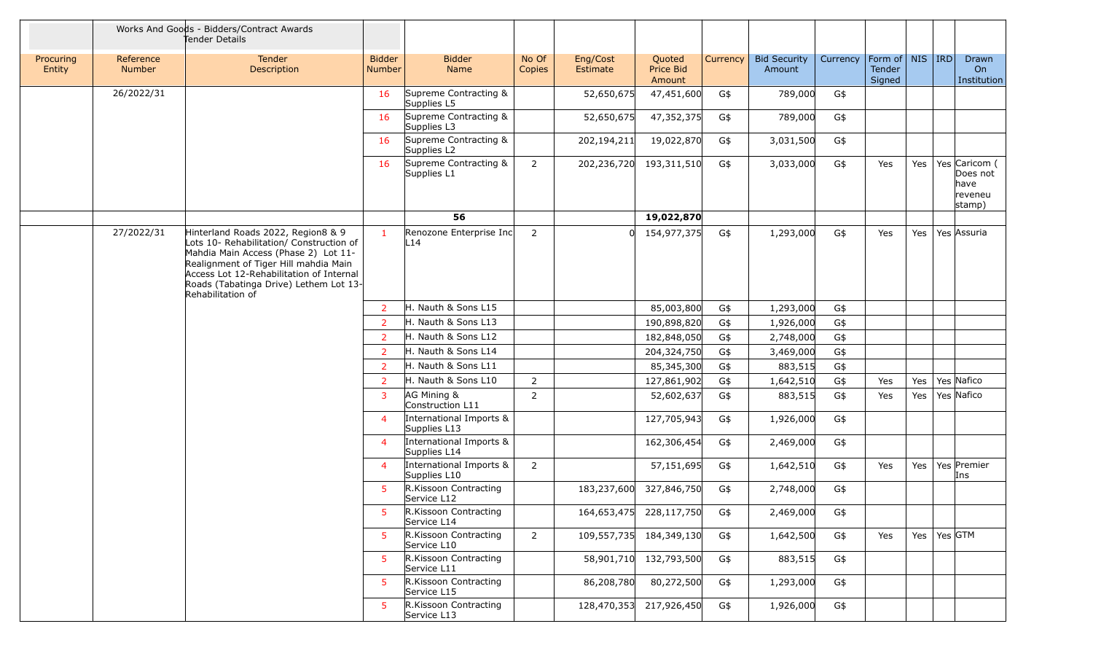|                     |                     | Works And Goods - Bidders/Contract Awards<br>Tender Details                                                                                                                                                                                                                |                                |                                         |                 |                         |                               |          |                               |          |                                         |     |             |                                                        |
|---------------------|---------------------|----------------------------------------------------------------------------------------------------------------------------------------------------------------------------------------------------------------------------------------------------------------------------|--------------------------------|-----------------------------------------|-----------------|-------------------------|-------------------------------|----------|-------------------------------|----------|-----------------------------------------|-----|-------------|--------------------------------------------------------|
| Procuring<br>Entity | Reference<br>Number | Tender<br>Description                                                                                                                                                                                                                                                      | <b>Bidder</b><br><b>Number</b> | <b>Bidder</b><br>Name                   | No Of<br>Copies | Eng/Cost<br>Estimate    | Quoted<br>Price Bid<br>Amount | Currency | <b>Bid Security</b><br>Amount | Currency | Form of   NIS   IRD<br>Tender<br>Signed |     |             | Drawn<br>On<br>Institution                             |
|                     | 26/2022/31          |                                                                                                                                                                                                                                                                            | 16                             | Supreme Contracting &<br>Supplies L5    |                 | 52,650,675              | 47,451,600                    | G\$      | 789,000                       | G\$      |                                         |     |             |                                                        |
|                     |                     |                                                                                                                                                                                                                                                                            | 16                             | Supreme Contracting &<br>Supplies L3    |                 | 52,650,675              | 47,352,375                    | G\$      | 789,000                       | G\$      |                                         |     |             |                                                        |
|                     |                     |                                                                                                                                                                                                                                                                            | 16                             | Supreme Contracting &<br>Supplies L2    |                 | 202,194,211             | 19,022,870                    | G\$      | 3,031,500                     | G\$      |                                         |     |             |                                                        |
|                     |                     |                                                                                                                                                                                                                                                                            | 16                             | Supreme Contracting &<br>Supplies L1    | $\overline{2}$  | 202,236,720             | 193,311,510                   | G\$      | 3,033,000                     | G\$      | Yes                                     | Yes |             | Yes Caricom (<br>Does not<br>have<br>reveneu<br>stamp) |
|                     |                     |                                                                                                                                                                                                                                                                            |                                | 56                                      |                 |                         | 19,022,870                    |          |                               |          |                                         |     |             |                                                        |
|                     | 27/2022/31          | Hinterland Roads 2022, Region8 & 9<br>Lots 10- Rehabilitation/ Construction of<br>Mahdia Main Access (Phase 2) Lot 11-<br>Realignment of Tiger Hill mahdia Main<br>Access Lot 12-Rehabilitation of Internal<br>Roads (Tabatinga Drive) Lethem Lot 13-<br>Rehabilitation of | $\mathbf{1}$                   | Renozone Enterprise Inc<br>L14          | $\overline{2}$  | $\Omega$                | 154,977,375                   | G\$      | 1,293,000                     | G\$      | Yes                                     | Yes |             | Yes Assuria                                            |
|                     |                     |                                                                                                                                                                                                                                                                            | 2                              | H. Nauth & Sons L15                     |                 |                         | 85,003,800                    | G\$      | 1,293,000                     | G\$      |                                         |     |             |                                                        |
|                     |                     |                                                                                                                                                                                                                                                                            | $\overline{2}$                 | H. Nauth & Sons L13                     |                 |                         | 190,898,820                   | G\$      | 1,926,000                     | G\$      |                                         |     |             |                                                        |
|                     |                     |                                                                                                                                                                                                                                                                            | 2                              | H. Nauth & Sons L12                     |                 |                         | 182,848,050                   | G\$      | 2,748,000                     | G\$      |                                         |     |             |                                                        |
|                     |                     |                                                                                                                                                                                                                                                                            | 2                              | H. Nauth & Sons L14                     |                 |                         | 204,324,750                   | G\$      | 3,469,000                     | G\$      |                                         |     |             |                                                        |
|                     |                     |                                                                                                                                                                                                                                                                            | 2                              | H. Nauth & Sons L11                     |                 |                         | 85,345,300                    | G\$      | 883,515                       | G\$      |                                         |     |             |                                                        |
|                     |                     |                                                                                                                                                                                                                                                                            | $\overline{2}$                 | H. Nauth & Sons L10                     | $\overline{2}$  |                         | 127,861,902                   | G\$      | 1,642,510                     | G\$      | Yes                                     | Yes |             | Yes Nafico                                             |
|                     |                     |                                                                                                                                                                                                                                                                            | 3                              | AG Mining &<br>Construction L11         | $\overline{2}$  |                         | 52,602,637                    | G\$      | 883,515                       | G\$      | Yes                                     | Yes |             | Yes Nafico                                             |
|                     |                     |                                                                                                                                                                                                                                                                            | $\overline{4}$                 | International Imports &<br>Supplies L13 |                 |                         | 127,705,943                   | G\$      | 1,926,000                     | G\$      |                                         |     |             |                                                        |
|                     |                     |                                                                                                                                                                                                                                                                            | $\overline{4}$                 | International Imports &<br>Supplies L14 |                 |                         | 162,306,454                   | G\$      | 2,469,000                     | G\$      |                                         |     |             |                                                        |
|                     |                     |                                                                                                                                                                                                                                                                            | $\overline{4}$                 | International Imports &<br>Supplies L10 | $\overline{2}$  |                         | 57,151,695                    | G\$      | 1,642,510                     | G\$      | Yes                                     | Yes |             | Yes Premier<br>Ins                                     |
|                     |                     |                                                                                                                                                                                                                                                                            | 5                              | R.Kissoon Contracting<br>Service L12    |                 | 183,237,600             | 327,846,750                   | G\$      | 2,748,000                     | G\$      |                                         |     |             |                                                        |
|                     |                     |                                                                                                                                                                                                                                                                            | 5                              | R.Kissoon Contracting<br>Service L14    |                 | 164,653,475 228,117,750 |                               | G\$      | 2,469,000                     | G\$      |                                         |     |             |                                                        |
|                     |                     |                                                                                                                                                                                                                                                                            | 5                              | R.Kissoon Contracting<br>Service L10    | $2^{\circ}$     | 109,557,735 184,349,130 |                               | G\$      | 1,642,500                     | G\$      | Yes                                     | Yes | Yes $ GTM $ |                                                        |
|                     |                     |                                                                                                                                                                                                                                                                            | 5                              | R.Kissoon Contracting<br>Service L11    |                 |                         | 58,901,710 132,793,500        | G\$      | 883,515                       | G\$      |                                         |     |             |                                                        |
|                     |                     |                                                                                                                                                                                                                                                                            | 5.                             | R.Kissoon Contracting<br>Service L15    |                 | 86,208,780              | 80,272,500                    | G\$      | 1,293,000                     | G\$      |                                         |     |             |                                                        |
|                     |                     |                                                                                                                                                                                                                                                                            | 5                              | R.Kissoon Contracting<br>Service L13    |                 | 128,470,353 217,926,450 |                               | G\$      | 1,926,000                     | G\$      |                                         |     |             |                                                        |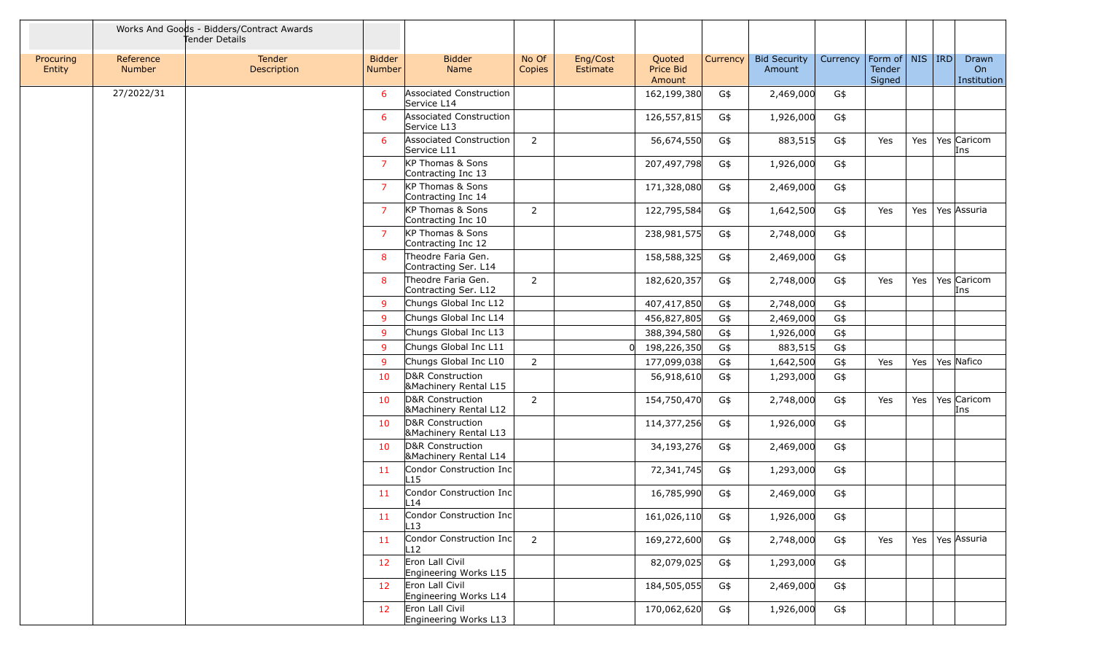|                     |                            | Works And Goods - Bidders/Contract Awards<br>Tender Details |                                |                                                      |                 |                      |                               |          |                               |          |                                         |     |                            |
|---------------------|----------------------------|-------------------------------------------------------------|--------------------------------|------------------------------------------------------|-----------------|----------------------|-------------------------------|----------|-------------------------------|----------|-----------------------------------------|-----|----------------------------|
| Procuring<br>Entity | Reference<br><b>Number</b> | Tender<br>Description                                       | <b>Bidder</b><br><b>Number</b> | <b>Bidder</b><br>Name                                | No Of<br>Copies | Eng/Cost<br>Estimate | Quoted<br>Price Bid<br>Amount | Currency | <b>Bid Security</b><br>Amount | Currency | Form of   NIS   IRD<br>Tender<br>Signed |     | Drawn<br>On<br>Institution |
|                     | 27/2022/31                 |                                                             | 6                              | Associated Construction<br>Service L14               |                 |                      | 162,199,380                   | G\$      | 2,469,000                     | G\$      |                                         |     |                            |
|                     |                            |                                                             | -6                             | Associated Construction<br>Service L13               |                 |                      | 126,557,815                   | G\$      | 1,926,000                     | G\$      |                                         |     |                            |
|                     |                            |                                                             | 6                              | <b>Associated Construction</b><br>Service L11        | $\overline{2}$  |                      | 56,674,550                    | G\$      | 883,515                       | G\$      | Yes                                     |     | Yes   Yes   Caricom<br>Ins |
|                     |                            |                                                             | 7                              | KP Thomas & Sons<br>Contracting Inc 13               |                 |                      | 207,497,798                   | G\$      | 1,926,000                     | G\$      |                                         |     |                            |
|                     |                            |                                                             | $\overline{7}$                 | KP Thomas & Sons<br>Contracting Inc 14               |                 |                      | 171,328,080                   | G\$      | 2,469,000                     | G\$      |                                         |     |                            |
|                     |                            |                                                             | 7                              | KP Thomas & Sons<br>Contracting Inc 10               | $\overline{2}$  |                      | 122,795,584                   | G\$      | 1,642,500                     | G\$      | Yes                                     | Yes | Yes Assuria                |
|                     |                            |                                                             | $\overline{7}$                 | KP Thomas & Sons<br>Contracting Inc 12               |                 |                      | 238,981,575                   | G\$      | 2,748,000                     | G\$      |                                         |     |                            |
|                     |                            |                                                             | 8                              | Theodre Faria Gen.<br>Contracting Ser. L14           |                 |                      | 158,588,325                   | G\$      | 2,469,000                     | G\$      |                                         |     |                            |
|                     |                            |                                                             | 8                              | Theodre Faria Gen.<br>Contracting Ser. L12           | 2               |                      | 182,620,357                   | G\$      | 2,748,000                     | G\$      | Yes                                     | Yes | Yes Caricom<br>Ins         |
|                     |                            |                                                             | $\mathbf{q}$                   | Chungs Global Inc L12                                |                 |                      | 407,417,850                   | G\$      | 2,748,000                     | G\$      |                                         |     |                            |
|                     |                            |                                                             | $\mathbf{q}$                   | Chungs Global Inc L14                                |                 |                      | 456,827,805                   | G\$      | 2,469,000                     | G\$      |                                         |     |                            |
|                     |                            |                                                             | 9                              | Chungs Global Inc L13                                |                 |                      | 388,394,580                   | G\$      | 1,926,000                     | G\$      |                                         |     |                            |
|                     |                            |                                                             | 9                              | Chungs Global Inc L11                                |                 |                      | 198,226,350<br>$\Omega$       | G\$      | 883,515                       | G\$      |                                         |     |                            |
|                     |                            |                                                             | 9                              | Chungs Global Inc L10                                | $\overline{2}$  |                      | 177,099,038                   | G\$      | 1,642,500                     | G\$      | Yes                                     |     | Yes   Yes Nafico           |
|                     |                            |                                                             | 10                             | D&R Construction<br><b>&amp;Machinery Rental L15</b> |                 |                      | 56,918,610                    | G\$      | 1,293,000                     | G\$      |                                         |     |                            |
|                     |                            |                                                             | 10                             | D&R Construction<br><b>&amp;Machinery Rental L12</b> | $\overline{2}$  |                      | 154,750,470                   | G\$      | 2,748,000                     | G\$      | Yes                                     | Yes | Yes Caricom<br>Ins         |
|                     |                            |                                                             | 10                             | D&R Construction<br><b>&amp;Machinery Rental L13</b> |                 |                      | 114,377,256                   | G\$      | 1,926,000                     | G\$      |                                         |     |                            |
|                     |                            |                                                             | 10                             | D&R Construction<br><b>&amp;Machinery Rental L14</b> |                 |                      | 34,193,276                    | G\$      | 2,469,000                     | G\$      |                                         |     |                            |
|                     |                            |                                                             | 11                             | Condor Construction Inc<br>$\lfloor 15 \rfloor$      |                 |                      | 72,341,745                    | G\$      | 1,293,000                     | G\$      |                                         |     |                            |
|                     |                            |                                                             | 11                             | Condor Construction Inc<br>$\_14$                    |                 |                      | 16,785,990                    | G\$      | 2,469,000                     | G\$      |                                         |     |                            |
|                     |                            |                                                             | -11                            | Condor Construction Inc<br>L13                       |                 |                      | 161,026,110                   | G\$      | 1,926,000                     | G\$      |                                         |     |                            |
|                     |                            |                                                             | 11                             | Condor Construction Inc<br>L12                       | $\overline{2}$  |                      | 169,272,600                   | G\$      | 2,748,000                     | G\$      | Yes                                     |     | Yes   Yes   Assuria        |
|                     |                            |                                                             | 12                             | Eron Lall Civil<br>Engineering Works L15             |                 |                      | 82,079,025                    | G\$      | 1,293,000                     | G\$      |                                         |     |                            |
|                     |                            |                                                             | 12                             | Eron Lall Civil<br>Engineering Works L14             |                 |                      | 184,505,055                   | G\$      | 2,469,000                     | G\$      |                                         |     |                            |
|                     |                            |                                                             | 12                             | Eron Lall Civil<br>Engineering Works L13             |                 |                      | 170,062,620                   | G\$      | 1,926,000                     | G\$      |                                         |     |                            |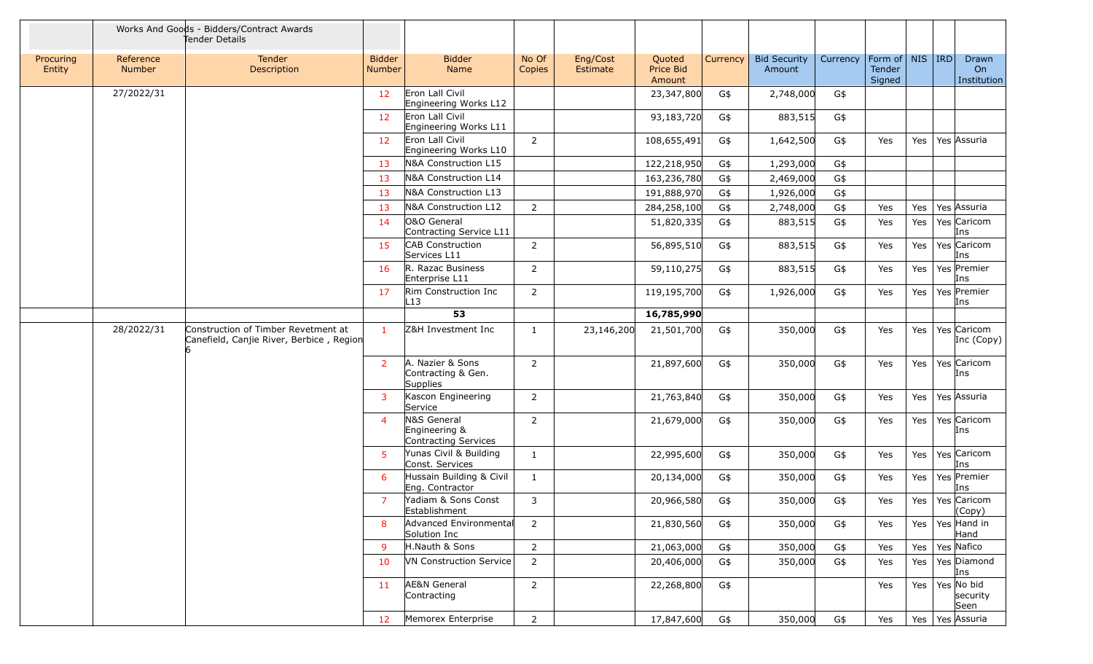|                     |                            | Works And Goods - Bidders/Contract Awards<br>Tender Details                     |                                |                                                      |                 |                      |                               |          |                               |          |                                         |     |                                |
|---------------------|----------------------------|---------------------------------------------------------------------------------|--------------------------------|------------------------------------------------------|-----------------|----------------------|-------------------------------|----------|-------------------------------|----------|-----------------------------------------|-----|--------------------------------|
| Procuring<br>Entity | Reference<br><b>Number</b> | <b>Tender</b><br>Description                                                    | <b>Bidder</b><br><b>Number</b> | <b>Bidder</b><br>Name                                | No Of<br>Copies | Eng/Cost<br>Estimate | Quoted<br>Price Bid<br>Amount | Currency | <b>Bid Security</b><br>Amount | Currency | Form of   NIS   IRD<br>Tender<br>Signed |     | Drawn<br>On<br>Institution     |
|                     | 27/2022/31                 |                                                                                 | 12                             | Eron Lall Civil<br>Engineering Works L12             |                 |                      | 23,347,800                    | G\$      | 2,748,000                     | G\$      |                                         |     |                                |
|                     |                            |                                                                                 | 12                             | Eron Lall Civil<br>Engineering Works L11             |                 |                      | 93,183,720                    | G\$      | 883,515                       | G\$      |                                         |     |                                |
|                     |                            |                                                                                 | 12                             | Eron Lall Civil<br>Engineering Works L10             | $\overline{2}$  |                      | 108,655,491                   | G\$      | 1,642,500                     | G\$      | Yes                                     | Yes | Yes Assuria                    |
|                     |                            |                                                                                 | 13                             | N&A Construction L15                                 |                 |                      | 122,218,950                   | G\$      | 1,293,000                     | G\$      |                                         |     |                                |
|                     |                            |                                                                                 | 13                             | N&A Construction L14                                 |                 |                      | 163,236,780                   | G\$      | 2,469,000                     | G\$      |                                         |     |                                |
|                     |                            |                                                                                 | 13                             | N&A Construction L13                                 |                 |                      | 191,888,970                   | G\$      | 1,926,000                     | G\$      |                                         |     |                                |
|                     |                            |                                                                                 | 13                             | N&A Construction L12                                 | $\overline{2}$  |                      | 284,258,100                   | G\$      | 2,748,000                     | G\$      | Yes                                     | Yes | Yes Assuria                    |
|                     |                            |                                                                                 | 14                             | O&O General<br>Contracting Service L11               |                 |                      | 51,820,335                    | G\$      | 883,515                       | G\$      | Yes                                     | Yes | Yes Caricom<br>Ins             |
|                     |                            |                                                                                 | 15                             | CAB Construction<br>Services L11                     | $\overline{2}$  |                      | 56,895,510                    | G\$      | 883,515                       | G\$      | Yes                                     | Yes | Yes Caricom<br>Ins             |
|                     |                            |                                                                                 | 16                             | R. Razac Business<br>Enterprise L11                  | $\overline{2}$  |                      | 59,110,275                    | G\$      | 883,515                       | G\$      | Yes                                     | Yes | Yes Premier<br>Ins             |
|                     |                            |                                                                                 | 17                             | Rim Construction Inc<br>$-13$                        | $\overline{2}$  |                      | 119,195,700                   | G\$      | 1,926,000                     | G\$      | Yes                                     | Yes | Yes Premier<br>Ins             |
|                     |                            |                                                                                 |                                | 53                                                   |                 |                      | 16,785,990                    |          |                               |          |                                         |     |                                |
|                     | 28/2022/31                 | Construction of Timber Revetment at<br>Canefield, Canjie River, Berbice, Region |                                | Z&H Investment Inc                                   | $\mathbf{1}$    | 23,146,200           | 21,501,700                    | G\$      | 350,000                       | G\$      | Yes                                     | Yes | Yes Caricom<br>Inc (Copy)      |
|                     |                            |                                                                                 | 2                              | A. Nazier & Sons<br>Contracting & Gen.<br>Supplies   | $\overline{2}$  |                      | 21,897,600                    | G\$      | 350,000                       | G\$      | Yes                                     | Yes | Yes Caricom<br>Ins             |
|                     |                            |                                                                                 | 3                              | Kascon Engineering<br>Service                        | $\overline{2}$  |                      | 21,763,840                    | G\$      | 350,000                       | G\$      | Yes                                     | Yes | Yes Assuria                    |
|                     |                            |                                                                                 | $\overline{4}$                 | N&S General<br>Engineering &<br>Contracting Services | $\overline{2}$  |                      | 21,679,000                    | G\$      | 350,000                       | G\$      | Yes                                     | Yes | Yes Caricom<br>Ins             |
|                     |                            |                                                                                 | 5                              | Yunas Civil & Building<br>Const. Services            | $\mathbf{1}$    |                      | 22,995,600                    | G\$      | 350,000                       | G\$      | Yes                                     | Yes | Yes Caricom<br>Ins             |
|                     |                            |                                                                                 | 6                              | Hussain Building & Civil<br>Eng. Contractor          | $\mathbf{1}$    |                      | 20,134,000                    | G\$      | 350,000                       | G\$      | Yes                                     | Yes | Yes Premier<br>Ins             |
|                     |                            |                                                                                 | 7                              | Yadiam & Sons Const<br>Establishment                 | 3               |                      | 20,966,580                    | G\$      | 350,000                       | G\$      | Yes                                     | Yes | Yes Caricom<br>(Copy)          |
|                     |                            |                                                                                 | 8                              | Advanced Environmental<br>Solution Inc               | $\overline{2}$  |                      | 21,830,560                    | G\$      | 350,000                       | G\$      | Yes                                     | Yes | Yes Hand in<br>Hand            |
|                     |                            |                                                                                 | -9                             | H.Nauth & Sons                                       | $\overline{2}$  |                      | 21,063,000                    | G\$      | 350,000                       | G\$      | Yes                                     | Yes | Yes Nafico                     |
|                     |                            |                                                                                 | 10                             | <b>VN Construction Service</b>                       | $\overline{2}$  |                      | 20,406,000                    | G\$      | 350,000                       | G\$      | Yes                                     | Yes | Yes Diamond<br>Ins             |
|                     |                            |                                                                                 | 11                             | <b>AE&amp;N</b> General<br>Contracting               | $\overline{2}$  |                      | 22,268,800                    | G\$      |                               |          | Yes                                     | Yes | Yes No bid<br>security<br>Seen |
|                     |                            |                                                                                 | 12                             | Memorex Enterprise                                   | $\overline{2}$  |                      | 17,847,600                    | G\$      | 350,000                       | G\$      | Yes                                     | Yes | Yes Assuria                    |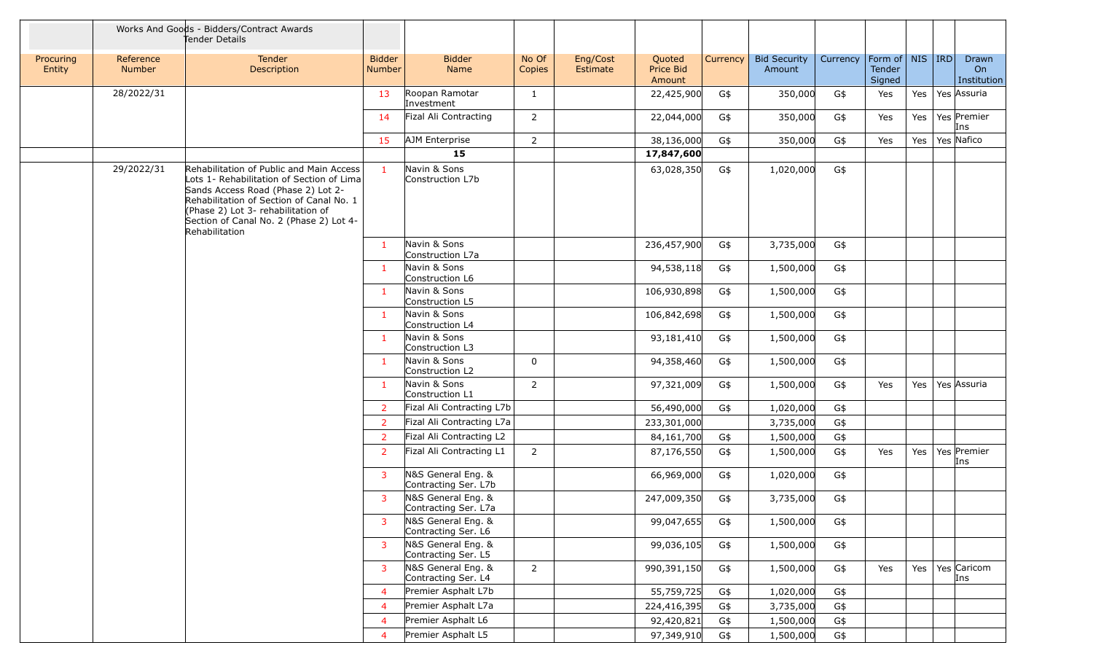|                     |                     | Works And Goods - Bidders/Contract Awards<br>Tender Details                                                                                                                                                                                                                |                                |                                            |                 |                      |                               |          |                               |          |                                         |     |                            |
|---------------------|---------------------|----------------------------------------------------------------------------------------------------------------------------------------------------------------------------------------------------------------------------------------------------------------------------|--------------------------------|--------------------------------------------|-----------------|----------------------|-------------------------------|----------|-------------------------------|----------|-----------------------------------------|-----|----------------------------|
| Procuring<br>Entity | Reference<br>Number | Tender<br>Description                                                                                                                                                                                                                                                      | <b>Bidder</b><br><b>Number</b> | <b>Bidder</b><br>Name                      | No Of<br>Copies | Eng/Cost<br>Estimate | Quoted<br>Price Bid<br>Amount | Currency | <b>Bid Security</b><br>Amount | Currency | Form of   NIS   IRD<br>Tender<br>Signed |     | Drawn<br>On<br>Institution |
|                     | 28/2022/31          |                                                                                                                                                                                                                                                                            | 13                             | Roopan Ramotar<br>Investment               | 1               |                      | 22,425,900                    | G\$      | 350,000                       | G\$      | Yes                                     | Yes | Yes Assuria                |
|                     |                     |                                                                                                                                                                                                                                                                            | 14                             | Fizal Ali Contracting                      | $\overline{2}$  |                      | 22,044,000                    | G\$      | 350,000                       | G\$      | Yes                                     | Yes | Yes Premier<br>Ins         |
|                     |                     |                                                                                                                                                                                                                                                                            | 15                             | AJM Enterprise                             | $\overline{2}$  |                      | 38,136,000                    | G\$      | 350,000                       | G\$      | Yes                                     | Yes | Yes Nafico                 |
|                     |                     |                                                                                                                                                                                                                                                                            |                                | 15                                         |                 |                      | 17,847,600                    |          |                               |          |                                         |     |                            |
|                     | 29/2022/31          | Rehabilitation of Public and Main Access<br>Lots 1- Rehabilitation of Section of Lima<br>Sands Access Road (Phase 2) Lot 2-<br>Rehabilitation of Section of Canal No. 1<br>(Phase 2) Lot 3- rehabilitation of<br>Section of Canal No. 2 (Phase 2) Lot 4-<br>Rehabilitation | -1                             | Navin & Sons<br>Construction L7b           |                 |                      | 63,028,350                    | G\$      | 1,020,000                     | G\$      |                                         |     |                            |
|                     |                     |                                                                                                                                                                                                                                                                            | -1                             | Navin & Sons<br>Construction L7a           |                 |                      | 236,457,900                   | G\$      | 3,735,000                     | G\$      |                                         |     |                            |
|                     |                     |                                                                                                                                                                                                                                                                            | -1                             | Navin & Sons<br>Construction L6            |                 |                      | 94,538,118                    | G\$      | 1,500,000                     | G\$      |                                         |     |                            |
|                     |                     |                                                                                                                                                                                                                                                                            | -1                             | Navin & Sons<br>Construction L5            |                 |                      | 106,930,898                   | G\$      | 1,500,000                     | G\$      |                                         |     |                            |
|                     |                     |                                                                                                                                                                                                                                                                            | -1                             | Navin & Sons<br>Construction L4            |                 |                      | 106,842,698                   | G\$      | 1,500,000                     | G\$      |                                         |     |                            |
|                     |                     |                                                                                                                                                                                                                                                                            | -1                             | Navin & Sons<br>Construction L3            |                 |                      | 93,181,410                    | G\$      | 1,500,000                     | G\$      |                                         |     |                            |
|                     |                     |                                                                                                                                                                                                                                                                            | $\mathbf{1}$                   | Navin & Sons<br>Construction L2            | $\mathbf 0$     |                      | 94,358,460                    | G\$      | 1,500,000                     | G\$      |                                         |     |                            |
|                     |                     |                                                                                                                                                                                                                                                                            | $\mathbf{1}$                   | Navin & Sons<br>Construction L1            | 2               |                      | 97,321,009                    | G\$      | 1,500,000                     | G\$      | Yes                                     | Yes | Yes Assuria                |
|                     |                     |                                                                                                                                                                                                                                                                            | $\overline{z}$                 | Fizal Ali Contracting L7b                  |                 |                      | 56,490,000                    | G\$      | 1,020,000                     | G\$      |                                         |     |                            |
|                     |                     |                                                                                                                                                                                                                                                                            | -2                             | Fizal Ali Contracting L7a                  |                 |                      | 233,301,000                   |          | 3,735,000                     | G\$      |                                         |     |                            |
|                     |                     |                                                                                                                                                                                                                                                                            | $\overline{2}$                 | Fizal Ali Contracting L2                   |                 |                      | 84,161,700                    | G\$      | 1,500,000                     | G\$      |                                         |     |                            |
|                     |                     |                                                                                                                                                                                                                                                                            | -2                             | Fizal Ali Contracting L1                   | $\overline{2}$  |                      | 87,176,550                    | G\$      | 1,500,000                     | G\$      | Yes                                     | Yes | Yes Premier<br>Ins         |
|                     |                     |                                                                                                                                                                                                                                                                            | 3                              | N&S General Eng. &<br>Contracting Ser. L7b |                 |                      | 66,969,000                    | G\$      | 1,020,000                     | G\$      |                                         |     |                            |
|                     |                     |                                                                                                                                                                                                                                                                            | 3                              | N&S General Eng. &<br>Contracting Ser. L7a |                 |                      | 247,009,350                   | G\$      | 3,735,000                     | G\$      |                                         |     |                            |
|                     |                     |                                                                                                                                                                                                                                                                            | 3                              | N&S General Eng. &<br>Contracting Ser. L6  |                 |                      | 99,047,655                    | G\$      | 1,500,000                     | G\$      |                                         |     |                            |
|                     |                     |                                                                                                                                                                                                                                                                            | $\overline{3}$                 | N&S General Eng. &<br>Contracting Ser. L5  |                 |                      | 99,036,105                    | G\$      | 1,500,000                     | G\$      |                                         |     |                            |
|                     |                     |                                                                                                                                                                                                                                                                            | 3                              | N&S General Eng. &<br>Contracting Ser. L4  | $2^{\circ}$     |                      | 990,391,150                   | G\$      | 1,500,000                     | G\$      | Yes                                     | Yes | Yes Caricom<br>Ins         |
|                     |                     |                                                                                                                                                                                                                                                                            | $\overline{4}$                 | Premier Asphalt L7b                        |                 |                      | 55,759,725                    | G\$      | 1,020,000                     | G\$      |                                         |     |                            |
|                     |                     |                                                                                                                                                                                                                                                                            | $\overline{4}$                 | Premier Asphalt L7a                        |                 |                      | 224,416,395                   | G\$      | 3,735,000                     | G\$      |                                         |     |                            |
|                     |                     |                                                                                                                                                                                                                                                                            | $\overline{4}$                 | Premier Asphalt L6                         |                 |                      | 92,420,821                    | G\$      | 1,500,000                     | G\$      |                                         |     |                            |
|                     |                     |                                                                                                                                                                                                                                                                            | $\overline{4}$                 | Premier Asphalt L5                         |                 |                      | 97,349,910                    | G\$      | 1,500,000                     | G\$      |                                         |     |                            |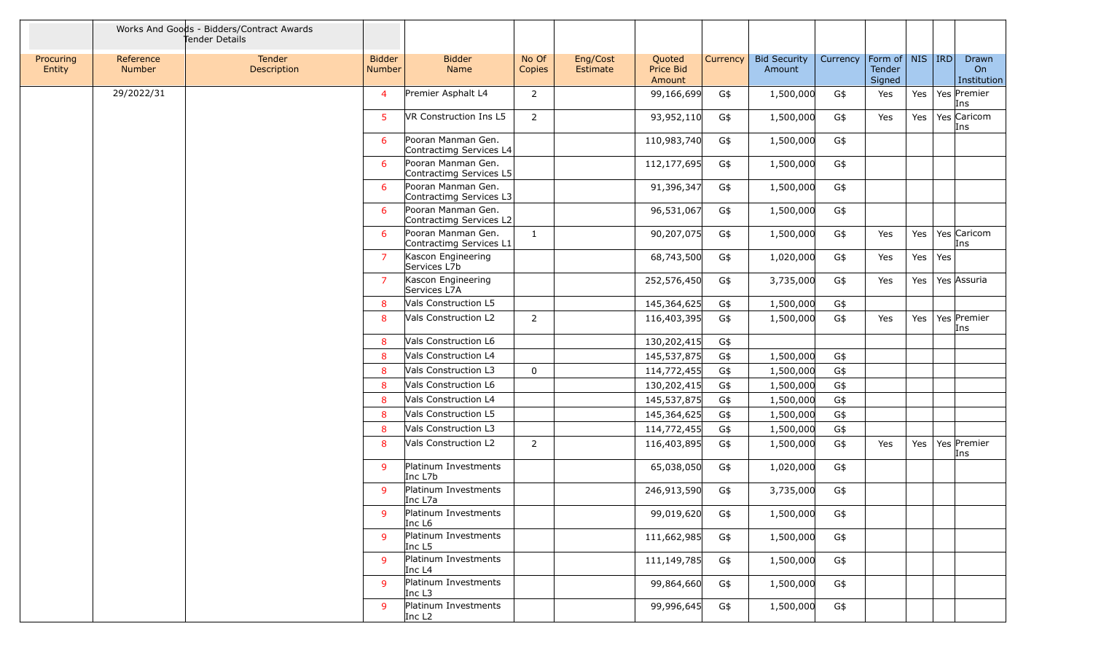|                     |                            | Works And Goods - Bidders/Contract Awards<br>Tender Details |                                |                                               |                 |                      |                               |          |                               |          |                                         |     |     |                            |
|---------------------|----------------------------|-------------------------------------------------------------|--------------------------------|-----------------------------------------------|-----------------|----------------------|-------------------------------|----------|-------------------------------|----------|-----------------------------------------|-----|-----|----------------------------|
| Procuring<br>Entity | Reference<br><b>Number</b> | Tender<br>Description                                       | <b>Bidder</b><br><b>Number</b> | <b>Bidder</b><br>Name                         | No Of<br>Copies | Eng/Cost<br>Estimate | Quoted<br>Price Bid<br>Amount | Currency | <b>Bid Security</b><br>Amount | Currency | Form of   NIS   IRD<br>Tender<br>Signed |     |     | Drawn<br>On<br>Institution |
|                     | 29/2022/31                 |                                                             | $\overline{4}$                 | Premier Asphalt L4                            | $\overline{2}$  |                      | 99,166,699                    | G\$      | 1,500,000                     | G\$      | Yes                                     | Yes |     | Yes Premier<br>Ins         |
|                     |                            |                                                             | 5                              | VR Construction Ins L5                        | $\overline{2}$  |                      | 93,952,110                    | G\$      | 1,500,000                     | G\$      | Yes                                     | Yes |     | Yes Caricom<br>Ins         |
|                     |                            |                                                             | 6                              | Pooran Manman Gen.<br>Contractimg Services L4 |                 |                      | 110,983,740                   | G\$      | 1,500,000                     | G\$      |                                         |     |     |                            |
|                     |                            |                                                             | 6                              | Pooran Manman Gen.<br>Contractimg Services L5 |                 |                      | 112,177,695                   | G\$      | 1,500,000                     | G\$      |                                         |     |     |                            |
|                     |                            |                                                             | 6                              | Pooran Manman Gen.<br>Contractimg Services L3 |                 |                      | 91,396,347                    | G\$      | 1,500,000                     | G\$      |                                         |     |     |                            |
|                     |                            |                                                             | 6                              | Pooran Manman Gen.<br>Contractimg Services L2 |                 |                      | 96,531,067                    | G\$      | 1,500,000                     | G\$      |                                         |     |     |                            |
|                     |                            |                                                             | 6                              | Pooran Manman Gen.<br>Contractimg Services L1 | $\mathbf{1}$    |                      | 90,207,075                    | G\$      | 1,500,000                     | G\$      | Yes                                     | Yes |     | Yes Caricom<br>Ins         |
|                     |                            |                                                             | $\overline{7}$                 | Kascon Engineering<br>Services L7b            |                 |                      | 68,743,500                    | G\$      | 1,020,000                     | G\$      | Yes                                     | Yes | Yes |                            |
|                     |                            |                                                             | 7                              | Kascon Engineering<br>Services L7A            |                 |                      | 252,576,450                   | G\$      | 3,735,000                     | G\$      | Yes                                     | Yes |     | Yes Assuria                |
|                     |                            |                                                             | 8                              | Vals Construction L5                          |                 |                      | 145,364,625                   | G\$      | 1,500,000                     | G\$      |                                         |     |     |                            |
|                     |                            |                                                             | 8                              | Vals Construction L2                          | $\overline{2}$  |                      | 116,403,395                   | G\$      | 1,500,000                     | G\$      | Yes                                     | Yes |     | Yes Premier<br>Ins         |
|                     |                            |                                                             | 8                              | Vals Construction L6                          |                 |                      | 130,202,415                   | G\$      |                               |          |                                         |     |     |                            |
|                     |                            |                                                             | 8                              | Vals Construction L4                          |                 |                      | 145,537,875                   | G\$      | 1,500,000                     | G\$      |                                         |     |     |                            |
|                     |                            |                                                             | 8                              | Vals Construction L3                          | $\mathbf 0$     |                      | 114,772,455                   | G\$      | 1,500,000                     | G\$      |                                         |     |     |                            |
|                     |                            |                                                             | 8                              | Vals Construction L6                          |                 |                      | 130,202,415                   | G\$      | 1,500,000                     | G\$      |                                         |     |     |                            |
|                     |                            |                                                             | 8                              | Vals Construction L4                          |                 |                      | 145,537,875                   | G\$      | 1,500,000                     | G\$      |                                         |     |     |                            |
|                     |                            |                                                             | 8                              | Vals Construction L5                          |                 |                      | 145,364,625                   | G\$      | 1,500,000                     | G\$      |                                         |     |     |                            |
|                     |                            |                                                             | 8                              | Vals Construction L3                          |                 |                      | 114,772,455                   | G\$      | 1,500,000                     | G\$      |                                         |     |     |                            |
|                     |                            |                                                             | 8                              | Vals Construction L2                          | $\overline{2}$  |                      | 116,403,895                   | G\$      | 1,500,000                     | G\$      | Yes                                     |     |     | Yes   Yes   Premier<br>Ins |
|                     |                            |                                                             | 9                              | Platinum Investments<br>Inc L7b               |                 |                      | 65,038,050                    | G\$      | 1,020,000                     | G\$      |                                         |     |     |                            |
|                     |                            |                                                             | -9                             | Platinum Investments<br>Inc L7a               |                 |                      | 246,913,590                   | G\$      | 3,735,000                     | G\$      |                                         |     |     |                            |
|                     |                            |                                                             | <sub>9</sub>                   | Platinum Investments<br>Inc L6                |                 |                      | 99,019,620                    | G\$      | 1,500,000                     | G\$      |                                         |     |     |                            |
|                     |                            |                                                             | 9                              | Platinum Investments<br>Inc L5                |                 |                      | 111,662,985                   | G\$      | 1,500,000                     | G\$      |                                         |     |     |                            |
|                     |                            |                                                             | 9                              | Platinum Investments<br>Inc L4                |                 |                      | 111,149,785                   | G\$      | 1,500,000                     | G\$      |                                         |     |     |                            |
|                     |                            |                                                             | <sub>9</sub>                   | Platinum Investments<br>Inc L3                |                 |                      | 99,864,660                    | G\$      | 1,500,000                     | G\$      |                                         |     |     |                            |
|                     |                            |                                                             | 9                              | Platinum Investments<br>Inc L2                |                 |                      | 99,996,645                    | G\$      | 1,500,000                     | G\$      |                                         |     |     |                            |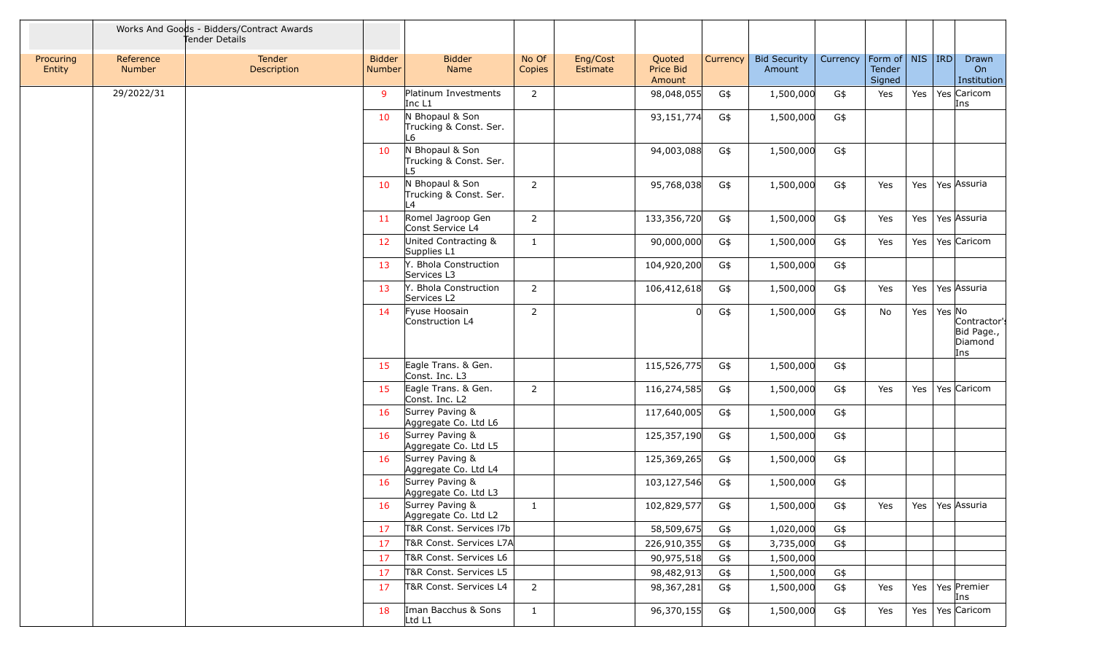|                     |                            | Works And Goods - Bidders/Contract Awards<br>Tender Details |                                |                                                  |                 |                      |                               |          |                               |          |                                         |                  |        |                                              |
|---------------------|----------------------------|-------------------------------------------------------------|--------------------------------|--------------------------------------------------|-----------------|----------------------|-------------------------------|----------|-------------------------------|----------|-----------------------------------------|------------------|--------|----------------------------------------------|
| Procuring<br>Entity | Reference<br><b>Number</b> | <b>Tender</b><br>Description                                | <b>Bidder</b><br><b>Number</b> | <b>Bidder</b><br>Name                            | No Of<br>Copies | Eng/Cost<br>Estimate | Quoted<br>Price Bid<br>Amount | Currency | <b>Bid Security</b><br>Amount | Currency | Form of   NIS   IRD<br>Tender<br>Signed |                  |        | Drawn<br>On<br>Institution                   |
|                     | 29/2022/31                 |                                                             | $\mathsf{q}$                   | Platinum Investments<br>Inc L1                   | $\overline{2}$  |                      | 98,048,055                    | G\$      | 1,500,000                     | G\$      | Yes                                     | Yes              |        | Yes Caricom<br>Ins                           |
|                     |                            |                                                             | 10                             | N Bhopaul & Son<br>Trucking & Const. Ser.<br>L6  |                 |                      | 93,151,774                    | G\$      | 1,500,000                     | G\$      |                                         |                  |        |                                              |
|                     |                            |                                                             | 10                             | N Bhopaul & Son<br>Trucking & Const. Ser.<br>I 5 |                 |                      | 94,003,088                    | G\$      | 1,500,000                     | G\$      |                                         |                  |        |                                              |
|                     |                            |                                                             | 10                             | N Bhopaul & Son<br>Trucking & Const. Ser.<br>L4  | $2^{\circ}$     |                      | 95,768,038                    | G\$      | 1,500,000                     | G\$      | Yes                                     | Yes              |        | Yes Assuria                                  |
|                     |                            |                                                             | 11                             | Romel Jagroop Gen<br>Const Service L4            | $\overline{2}$  |                      | 133,356,720                   | G\$      | 1,500,000                     | G\$      | Yes                                     | Yes              |        | Yes Assuria                                  |
|                     |                            |                                                             | 12                             | United Contracting &<br>Supplies L1              | $\mathbf{1}$    |                      | 90,000,000                    | G\$      | 1,500,000                     | G\$      | Yes                                     | Yes              |        | Yes Caricom                                  |
|                     |                            |                                                             | 13                             | Y. Bhola Construction<br>Services L3             |                 |                      | 104,920,200                   | G\$      | 1,500,000                     | G\$      |                                         |                  |        |                                              |
|                     |                            |                                                             | 13                             | Y. Bhola Construction<br>Services L2             | $\overline{2}$  |                      | 106,412,618                   | G\$      | 1,500,000                     | G\$      | Yes                                     | Yes              |        | Yes Assuria                                  |
|                     |                            |                                                             | 14                             | Fyuse Hoosain<br>Construction L4                 | $\overline{2}$  |                      |                               | G\$      | 1,500,000                     | G\$      | No                                      | Yes <sup>1</sup> | Yes No | Contractor's<br>Bid Page.,<br>Diamond<br>Ins |
|                     |                            |                                                             | 15                             | Eagle Trans. & Gen.<br>Const. Inc. L3            |                 |                      | 115,526,775                   | G\$      | 1,500,000                     | G\$      |                                         |                  |        |                                              |
|                     |                            |                                                             | 15                             | Eagle Trans. & Gen.<br>Const. Inc. L2            | $2^{\circ}$     |                      | 116,274,585                   | G\$      | 1,500,000                     | G\$      | Yes                                     | Yes              |        | Yes Caricom                                  |
|                     |                            |                                                             | 16                             | Surrey Paving &<br>Aggregate Co. Ltd L6          |                 |                      | 117,640,005                   | G\$      | 1,500,000                     | G\$      |                                         |                  |        |                                              |
|                     |                            |                                                             | 16                             | Surrey Paving &<br>Aggregate Co. Ltd L5          |                 |                      | 125,357,190                   | G\$      | 1,500,000                     | G\$      |                                         |                  |        |                                              |
|                     |                            |                                                             | 16                             | Surrey Paving &<br>Aggregate Co. Ltd L4          |                 |                      | 125,369,265                   | G\$      | 1,500,000                     | G\$      |                                         |                  |        |                                              |
|                     |                            |                                                             | <b>16</b>                      | Surrey Paving &<br>Aggregate Co. Ltd L3          |                 |                      | 103,127,546                   | G\$      | 1,500,000                     | G\$      |                                         |                  |        |                                              |
|                     |                            |                                                             | 16                             | Surrey Paving &<br>Aggregate Co. Ltd L2          | $\mathbf{1}$    |                      | 102,829,577                   | G\$      | 1,500,000                     | G\$      |                                         |                  |        | Yes Yes Yes Assuria                          |
|                     |                            |                                                             | 17                             | T&R Const. Services 17b                          |                 |                      | 58,509,675                    | G\$      | 1,020,000                     | G\$      |                                         |                  |        |                                              |
|                     |                            |                                                             | 17                             | T&R Const. Services L7A                          |                 |                      | 226,910,355                   | G\$      | 3,735,000                     | G\$      |                                         |                  |        |                                              |
|                     |                            |                                                             | -17                            | T&R Const. Services L6                           |                 |                      | 90,975,518                    | G\$      | 1,500,000                     |          |                                         |                  |        |                                              |
|                     |                            |                                                             | 17                             | T&R Const. Services L5                           |                 |                      | 98,482,913                    | G\$      | 1,500,000                     | G\$      |                                         |                  |        |                                              |
|                     |                            |                                                             | 17                             | T&R Const. Services L4                           | $\overline{2}$  |                      | 98,367,281                    | G\$      | 1,500,000                     | G\$      | Yes                                     |                  |        | Yes   Yes   Premier<br>Ins                   |
|                     |                            |                                                             | 18                             | Iman Bacchus & Sons<br>Ltd L1                    | $\mathbf{1}$    |                      | 96,370,155                    | G\$      | 1,500,000                     | G\$      | Yes                                     |                  |        | Yes   Yes   Caricom                          |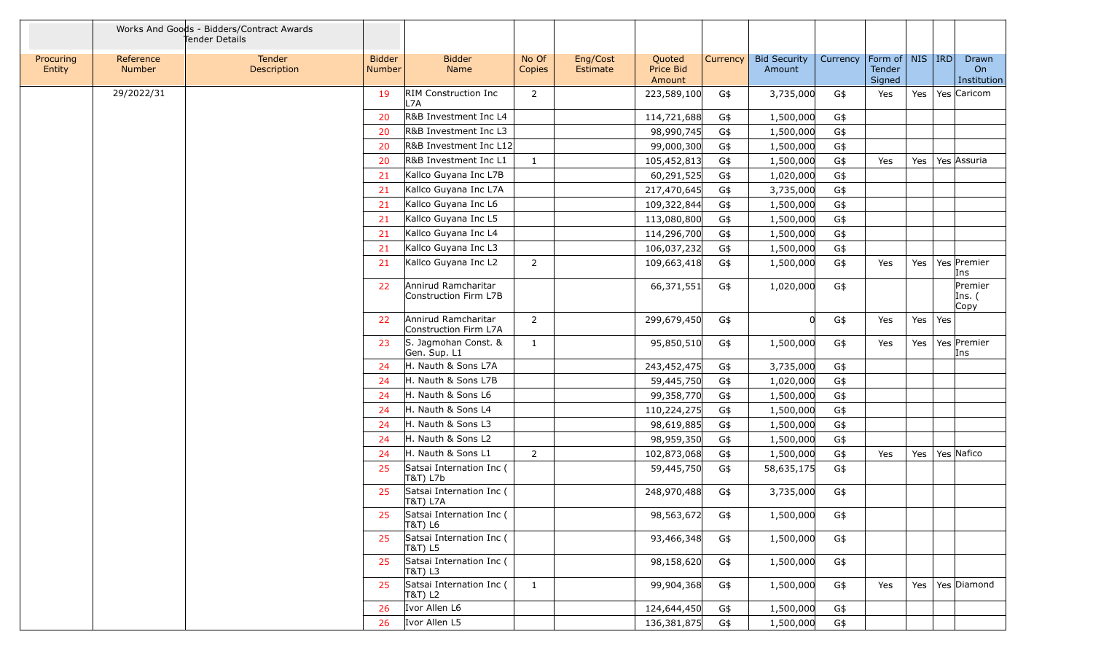|                     |                     | Works And Goods - Bidders/Contract Awards<br>Tender Details |                                |                                              |                 |                      |                               |          |                               |          |                                         |     |     |                            |
|---------------------|---------------------|-------------------------------------------------------------|--------------------------------|----------------------------------------------|-----------------|----------------------|-------------------------------|----------|-------------------------------|----------|-----------------------------------------|-----|-----|----------------------------|
| Procuring<br>Entity | Reference<br>Number | Tender<br>Description                                       | <b>Bidder</b><br><b>Number</b> | <b>Bidder</b><br>Name                        | No Of<br>Copies | Eng/Cost<br>Estimate | Quoted<br>Price Bid<br>Amount | Currency | <b>Bid Security</b><br>Amount | Currency | Form of   NIS   IRD<br>Tender<br>Signed |     |     | Drawn<br>On<br>Institution |
|                     | 29/2022/31          |                                                             | 19                             | RIM Construction Inc<br>L7A                  | $\overline{2}$  |                      | 223,589,100                   | G\$      | 3,735,000                     | G\$      | Yes                                     | Yes |     | Yes Caricom                |
|                     |                     |                                                             | 20                             | R&B Investment Inc L4                        |                 |                      | 114,721,688                   | G\$      | 1,500,000                     | G\$      |                                         |     |     |                            |
|                     |                     |                                                             | 20                             | R&B Investment Inc L3                        |                 |                      | 98,990,745                    | G\$      | 1,500,000                     | G\$      |                                         |     |     |                            |
|                     |                     |                                                             | 20                             | R&B Investment Inc L12                       |                 |                      | 99,000,300                    | G\$      | 1,500,000                     | G\$      |                                         |     |     |                            |
|                     |                     |                                                             | 20                             | R&B Investment Inc L1                        | 1               |                      | 105,452,813                   | G\$      | 1,500,000                     | G\$      | Yes                                     | Yes |     | Yes Assuria                |
|                     |                     |                                                             | 21                             | Kallco Guyana Inc L7B                        |                 |                      | 60,291,525                    | G\$      | 1,020,000                     | G\$      |                                         |     |     |                            |
|                     |                     |                                                             | 21                             | Kallco Guyana Inc L7A                        |                 |                      | 217,470,645                   | G\$      | 3,735,000                     | G\$      |                                         |     |     |                            |
|                     |                     |                                                             | 21                             | Kallco Guyana Inc L6                         |                 |                      | 109,322,844                   | G\$      | 1,500,000                     | G\$      |                                         |     |     |                            |
|                     |                     |                                                             | 21                             | Kallco Guyana Inc L5                         |                 |                      | 113,080,800                   | G\$      | 1,500,000                     | G\$      |                                         |     |     |                            |
|                     |                     |                                                             | 21                             | Kallco Guyana Inc L4                         |                 |                      | 114,296,700                   | G\$      | 1,500,000                     | G\$      |                                         |     |     |                            |
|                     |                     |                                                             | 21                             | Kallco Guyana Inc L3                         |                 |                      | 106,037,232                   | G\$      | 1,500,000                     | G\$      |                                         |     |     |                            |
|                     |                     |                                                             | 21                             | Kallco Guyana Inc L2                         | $\overline{2}$  |                      | 109,663,418                   | G\$      | 1,500,000                     | G\$      | Yes                                     | Yes |     | Yes Premier<br>Ins         |
|                     |                     |                                                             | 22                             | Annirud Ramcharitar<br>Construction Firm L7B |                 |                      | 66,371,551                    | G\$      | 1,020,000                     | G\$      |                                         |     |     | Premier<br>Ins. (<br>Copy  |
|                     |                     |                                                             | 22                             | Annirud Ramcharitar<br>Construction Firm L7A | $\overline{2}$  |                      | 299,679,450                   | G\$      |                               | G\$      | Yes                                     | Yes | Yes |                            |
|                     |                     |                                                             | 23                             | S. Jagmohan Const. &<br>Gen. Sup. L1         | 1               |                      | 95,850,510                    | G\$      | 1,500,000                     | G\$      | Yes                                     | Yes |     | Yes Premier<br>Ins         |
|                     |                     |                                                             | 24                             | H. Nauth & Sons L7A                          |                 |                      | 243,452,475                   | G\$      | 3,735,000                     | G\$      |                                         |     |     |                            |
|                     |                     |                                                             | 24                             | H. Nauth & Sons L7B                          |                 |                      | 59,445,750                    | G\$      | 1,020,000                     | G\$      |                                         |     |     |                            |
|                     |                     |                                                             | 24                             | H. Nauth & Sons L6                           |                 |                      | 99,358,770                    | G\$      | 1,500,000                     | G\$      |                                         |     |     |                            |
|                     |                     |                                                             | 24                             | H. Nauth & Sons L4                           |                 |                      | 110,224,275                   | G\$      | 1,500,000                     | G\$      |                                         |     |     |                            |
|                     |                     |                                                             | 24                             | H. Nauth & Sons L3                           |                 |                      | 98,619,885                    | G\$      | 1,500,000                     | G\$      |                                         |     |     |                            |
|                     |                     |                                                             | 24                             | H. Nauth & Sons L2                           |                 |                      | 98,959,350                    | G\$      | 1,500,000                     | G\$      |                                         |     |     |                            |
|                     |                     |                                                             | 24                             | H. Nauth & Sons L1                           | $\overline{2}$  |                      | 102,873,068                   | G\$      | 1,500,000                     | G\$      | Yes                                     | Yes |     | Yes Nafico                 |
|                     |                     |                                                             | 25                             | Satsai Internation Inc (<br>T&T) L7b         |                 |                      | 59,445,750                    | G\$      | 58,635,175                    | G\$      |                                         |     |     |                            |
|                     |                     |                                                             | 25                             | Satsai Internation Inc (<br>T&T) L7A         |                 |                      | 248,970,488                   | G\$      | 3,735,000                     | G\$      |                                         |     |     |                            |
|                     |                     |                                                             | 25                             | Satsai Internation Inc (<br>T&T) L6          |                 |                      | 98,563,672                    | G\$      | 1,500,000                     | G\$      |                                         |     |     |                            |
|                     |                     |                                                             | 25                             | Satsai Internation Inc (<br>T&T) L5          |                 |                      | 93,466,348                    | G\$      | 1,500,000                     | G\$      |                                         |     |     |                            |
|                     |                     |                                                             | 25                             | Satsai Internation Inc (<br>T&T) L3          |                 |                      | 98,158,620                    | G\$      | 1,500,000                     | G\$      |                                         |     |     |                            |
|                     |                     |                                                             | 25                             | Satsai Internation Inc (<br>T&T) L2          | $\mathbf{1}$    |                      | 99,904,368                    | G\$      | 1,500,000                     | G\$      | Yes                                     |     |     | Yes   Yes   Diamond        |
|                     |                     |                                                             | -26                            | Ivor Allen L6                                |                 |                      | 124,644,450                   | G\$      | 1,500,000                     | G\$      |                                         |     |     |                            |
|                     |                     |                                                             | 26                             | Ivor Allen L5                                |                 |                      | 136,381,875                   | G\$      | 1,500,000                     | G\$      |                                         |     |     |                            |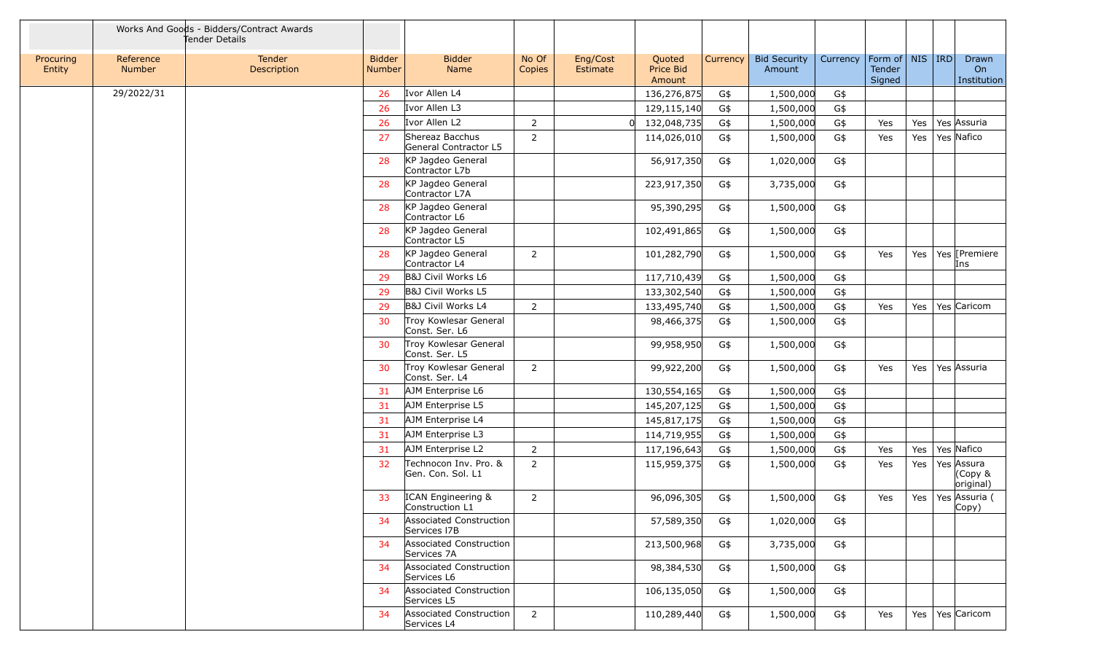| Works And Goods - Bidders/Contract Awards<br>Tender Details |                            |                       |                                |                                            |                 |                      |                               |          |                               |          |                                         |         |                                               |
|-------------------------------------------------------------|----------------------------|-----------------------|--------------------------------|--------------------------------------------|-----------------|----------------------|-------------------------------|----------|-------------------------------|----------|-----------------------------------------|---------|-----------------------------------------------|
| Procuring<br>Entity                                         | Reference<br><b>Number</b> | Tender<br>Description | <b>Bidder</b><br><b>Number</b> | <b>Bidder</b><br>Name                      | No Of<br>Copies | Eng/Cost<br>Estimate | Quoted<br>Price Bid<br>Amount | Currency | <b>Bid Security</b><br>Amount | Currency | Form of   NIS   IRD<br>Tender<br>Signed |         | Drawn<br>On<br>Institution                    |
|                                                             | 29/2022/31                 |                       | 26                             | Ivor Allen L4                              |                 |                      | 136,276,875                   | G\$      | 1,500,000                     | G\$      |                                         |         |                                               |
|                                                             |                            |                       | 26                             | Ivor Allen L3                              |                 |                      | 129,115,140                   | G\$      | 1,500,000                     | G\$      |                                         |         |                                               |
|                                                             |                            |                       | -26                            | Ivor Allen L2                              | $\overline{2}$  |                      | 132,048,735<br>$\Omega$       | G\$      | 1,500,000                     | G\$      | Yes                                     | Yes     | Yes Assuria                                   |
|                                                             |                            |                       | 27                             | Shereaz Bacchus<br>General Contractor L5   | $\overline{2}$  |                      | 114,026,010                   | G\$      | 1,500,000                     | G\$      | Yes                                     | Yes $ $ | Yes Nafico                                    |
|                                                             |                            |                       | 28                             | KP Jagdeo General<br>Contractor L7b        |                 |                      | 56,917,350                    | G\$      | 1,020,000                     | G\$      |                                         |         |                                               |
|                                                             |                            |                       | 28                             | KP Jagdeo General<br>Contractor L7A        |                 |                      | 223,917,350                   | G\$      | 3,735,000                     | G\$      |                                         |         |                                               |
|                                                             |                            |                       | 28                             | KP Jagdeo General<br>Contractor L6         |                 |                      | 95,390,295                    | G\$      | 1,500,000                     | G\$      |                                         |         |                                               |
|                                                             |                            |                       | 28                             | KP Jagdeo General<br>Contractor L5         |                 |                      | 102,491,865                   | G\$      | 1,500,000                     | G\$      |                                         |         |                                               |
|                                                             |                            |                       | 28                             | KP Jagdeo General<br>Contractor L4         | $\overline{2}$  |                      | 101,282,790                   | G\$      | 1,500,000                     | G\$      | Yes                                     | Yes     | Yes [Premiere<br>Ins                          |
|                                                             |                            |                       | 29                             | B&J Civil Works L6                         |                 |                      | 117,710,439                   | G\$      | 1,500,000                     | G\$      |                                         |         |                                               |
|                                                             |                            |                       | -29                            | B&J Civil Works L5                         |                 |                      | 133,302,540                   | G\$      | 1,500,000                     | G\$      |                                         |         |                                               |
|                                                             |                            |                       | 29                             | B&J Civil Works L4                         | $\overline{2}$  |                      | 133,495,740                   | G\$      | 1,500,000                     | G\$      | Yes                                     | Yes     | Yes Caricom                                   |
|                                                             |                            |                       | 30                             | Troy Kowlesar General<br>Const. Ser. L6    |                 |                      | 98,466,375                    | G\$      | 1,500,000                     | G\$      |                                         |         |                                               |
|                                                             |                            |                       | 30                             | Troy Kowlesar General<br>Const. Ser. L5    |                 |                      | 99,958,950                    | G\$      | 1,500,000                     | G\$      |                                         |         |                                               |
|                                                             |                            |                       | 30                             | Troy Kowlesar General<br>Const. Ser. L4    | $\overline{2}$  |                      | 99,922,200                    | G\$      | 1,500,000                     | G\$      | Yes                                     |         | Yes   Yes   Assuria                           |
|                                                             |                            |                       | -31                            | AJM Enterprise L6                          |                 |                      | 130,554,165                   | G\$      | 1,500,000                     | G\$      |                                         |         |                                               |
|                                                             |                            |                       | 31                             | AJM Enterprise L5                          |                 |                      | 145,207,125                   | G\$      | 1,500,000                     | G\$      |                                         |         |                                               |
|                                                             |                            |                       | 31                             | AJM Enterprise L4                          |                 |                      | 145,817,175                   | G\$      | 1,500,000                     | G\$      |                                         |         |                                               |
|                                                             |                            |                       | 31                             | AJM Enterprise L3                          |                 |                      | 114,719,955                   | G\$      | 1,500,000                     | G\$      |                                         |         |                                               |
|                                                             |                            |                       | 31                             | AJM Enterprise L2                          | $\overline{2}$  |                      | 117,196,643                   | G\$      | 1,500,000                     | G\$      | Yes                                     | Yes     | Yes Nafico                                    |
|                                                             |                            |                       | 32                             | Technocon Inv. Pro. &<br>Gen. Con. Sol. L1 | $\overline{2}$  |                      | 115,959,375                   | G\$      | 1,500,000                     | G\$      | Yes                                     | Yes     | Yes Assura<br>(Copy &<br>original)            |
|                                                             |                            |                       | 33                             | ICAN Engineering &<br>Construction L1      | 2               |                      | 96,096,305                    | G\$      | 1,500,000                     | G\$      | Yes                                     |         | Yes   Yes Assuria (<br>$\vert \mathsf{Copy})$ |
|                                                             |                            |                       | 34                             | Associated Construction<br>Services I7B    |                 |                      | 57,589,350                    | G\$      | 1,020,000                     | G\$      |                                         |         |                                               |
|                                                             |                            |                       | 34                             | Associated Construction<br>Services 7A     |                 |                      | 213,500,968                   | G\$      | 3,735,000                     | G\$      |                                         |         |                                               |
|                                                             |                            |                       | 34                             | Associated Construction<br>Services L6     |                 |                      | 98,384,530                    | G\$      | 1,500,000                     | G\$      |                                         |         |                                               |
|                                                             |                            |                       | 34                             | Associated Construction<br>Services L5     |                 |                      | 106,135,050                   | G\$      | 1,500,000                     | G\$      |                                         |         |                                               |
|                                                             |                            |                       | 34                             | Associated Construction<br>Services L4     | $\overline{2}$  |                      | 110,289,440                   | G\$      | 1,500,000                     | G\$      | Yes                                     |         | Yes   Yes   Caricom                           |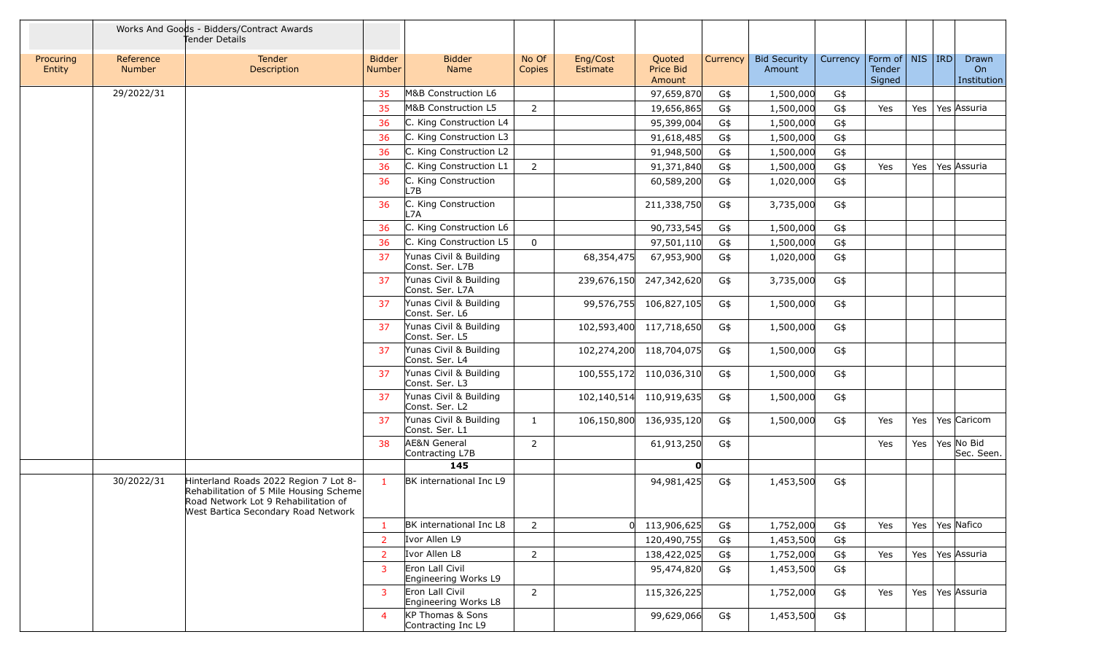|                     | Works And Goods - Bidders/Contract Awards<br>Tender Details |                                                                                                                                                                 |                                |                                            |                 |                      |                               |          |                               |          |                                         |     |                            |
|---------------------|-------------------------------------------------------------|-----------------------------------------------------------------------------------------------------------------------------------------------------------------|--------------------------------|--------------------------------------------|-----------------|----------------------|-------------------------------|----------|-------------------------------|----------|-----------------------------------------|-----|----------------------------|
| Procuring<br>Entity | Reference<br><b>Number</b>                                  | Tender<br>Description                                                                                                                                           | <b>Bidder</b><br><b>Number</b> | <b>Bidder</b><br>Name                      | No Of<br>Copies | Eng/Cost<br>Estimate | Quoted<br>Price Bid<br>Amount | Currency | <b>Bid Security</b><br>Amount | Currency | Form of   NIS   IRD<br>Tender<br>Signed |     | Drawn<br>On<br>Institution |
|                     | 29/2022/31                                                  |                                                                                                                                                                 | 35                             | M&B Construction L6                        |                 |                      | 97,659,870                    | G\$      | 1,500,000                     | G\$      |                                         |     |                            |
|                     |                                                             |                                                                                                                                                                 | 35                             | M&B Construction L5                        | $\overline{2}$  |                      | 19,656,865                    | G\$      | 1,500,000                     | G\$      | Yes                                     | Yes | Yes Assuria                |
|                     |                                                             |                                                                                                                                                                 | 36                             | C. King Construction L4                    |                 |                      | 95,399,004                    | G\$      | 1,500,000                     | G\$      |                                         |     |                            |
|                     |                                                             |                                                                                                                                                                 | 36                             | C. King Construction L3                    |                 |                      | 91,618,485                    | G\$      | 1,500,000                     | G\$      |                                         |     |                            |
|                     |                                                             |                                                                                                                                                                 | 36                             | C. King Construction L2                    |                 |                      | 91,948,500                    | G\$      | 1,500,000                     | G\$      |                                         |     |                            |
|                     |                                                             |                                                                                                                                                                 | 36                             | C. King Construction L1                    | $\overline{2}$  |                      | 91,371,840                    | G\$      | 1,500,000                     | G\$      | Yes                                     | Yes | Yes Assuria                |
|                     |                                                             |                                                                                                                                                                 | 36                             | C. King Construction<br>L7B.               |                 |                      | 60,589,200                    | G\$      | 1,020,000                     | G\$      |                                         |     |                            |
|                     |                                                             |                                                                                                                                                                 | 36                             | C. King Construction<br>_7A                |                 |                      | 211,338,750                   | G\$      | 3,735,000                     | G\$      |                                         |     |                            |
|                     |                                                             |                                                                                                                                                                 | 36                             | C. King Construction L6                    |                 |                      | 90,733,545                    | G\$      | 1,500,000                     | G\$      |                                         |     |                            |
|                     |                                                             |                                                                                                                                                                 | 36                             | C. King Construction L5                    | $\overline{0}$  |                      | 97,501,110                    | G\$      | 1,500,000                     | G\$      |                                         |     |                            |
|                     |                                                             |                                                                                                                                                                 | 37                             | Yunas Civil & Building<br>Const. Ser. L7B  |                 | 68,354,475           | 67,953,900                    | G\$      | 1,020,000                     | G\$      |                                         |     |                            |
|                     |                                                             |                                                                                                                                                                 | 37                             | Yunas Civil & Building<br>Const. Ser. L7A  |                 | 239,676,150          | 247,342,620                   | G\$      | 3,735,000                     | G\$      |                                         |     |                            |
|                     |                                                             |                                                                                                                                                                 | -37                            | Yunas Civil & Building<br>Const. Ser. L6   |                 | 99,576,755           | 106,827,105                   | G\$      | 1,500,000                     | G\$      |                                         |     |                            |
|                     |                                                             |                                                                                                                                                                 | -37                            | Yunas Civil & Building<br>Const. Ser. L5   |                 | 102,593,400          | 117,718,650                   | G\$      | 1,500,000                     | G\$      |                                         |     |                            |
|                     |                                                             |                                                                                                                                                                 | -37                            | Yunas Civil & Building<br>Const. Ser. L4   |                 |                      | 102,274,200 118,704,075       | G\$      | 1,500,000                     | G\$      |                                         |     |                            |
|                     |                                                             |                                                                                                                                                                 | 37                             | Yunas Civil & Building<br>Const. Ser. L3   |                 |                      | 100,555,172 110,036,310       | G\$      | 1,500,000                     | G\$      |                                         |     |                            |
|                     |                                                             |                                                                                                                                                                 | 37                             | Yunas Civil & Building<br>Const. Ser. L2   |                 | 102,140,514          | 110,919,635                   | G\$      | 1,500,000                     | G\$      |                                         |     |                            |
|                     |                                                             |                                                                                                                                                                 | 37                             | Yunas Civil & Building<br>Const. Ser. L1   | $\mathbf{1}$    | 106,150,800          | 136,935,120                   | G\$      | 1,500,000                     | G\$      | Yes                                     | Yes | Yes Caricom                |
|                     |                                                             |                                                                                                                                                                 | 38                             | <b>AE&amp;N General</b><br>Contracting L7B | $\overline{2}$  |                      | 61,913,250                    | G\$      |                               |          | Yes                                     | Yes | Yes No Bid<br>Sec. Seen.   |
|                     |                                                             |                                                                                                                                                                 |                                | 145                                        |                 |                      | n                             |          |                               |          |                                         |     |                            |
|                     | 30/2022/31                                                  | Hinterland Roads 2022 Region 7 Lot 8-<br>Rehabilitation of 5 Mile Housing Scheme<br>Road Network Lot 9 Rehabilitation of<br>West Bartica Secondary Road Network |                                | BK international Inc L9                    |                 |                      | 94,981,425                    | G\$      | 1,453,500                     | G\$      |                                         |     |                            |
|                     |                                                             |                                                                                                                                                                 |                                | BK international Inc L8                    | $2^{\circ}$     |                      | 113,906,625                   | G\$      | 1,752,000                     | G\$      | Yes                                     | Yes | Yes Nafico                 |
|                     |                                                             |                                                                                                                                                                 | -2                             | Ivor Allen L9                              |                 |                      | 120,490,755                   | G\$      | 1,453,500                     | G\$      |                                         |     |                            |
|                     |                                                             |                                                                                                                                                                 | 2                              | Ivor Allen L8                              | $\overline{2}$  |                      | 138,422,025                   | G\$      | 1,752,000                     | G\$      | Yes                                     |     | Yes   Yes   Assuria        |
|                     |                                                             |                                                                                                                                                                 | 3                              | Eron Lall Civil<br>Engineering Works L9    |                 |                      | 95,474,820                    | G\$      | 1,453,500                     | G\$      |                                         |     |                            |
|                     |                                                             |                                                                                                                                                                 | 3                              | Eron Lall Civil<br>Engineering Works L8    | $\overline{2}$  |                      | 115,326,225                   |          | 1,752,000                     | G\$      | Yes                                     | Yes | Yes Assuria                |
|                     |                                                             |                                                                                                                                                                 | $\overline{4}$                 | KP Thomas & Sons<br>Contracting Inc L9     |                 |                      | 99,629,066                    | G\$      | 1,453,500                     | G\$      |                                         |     |                            |